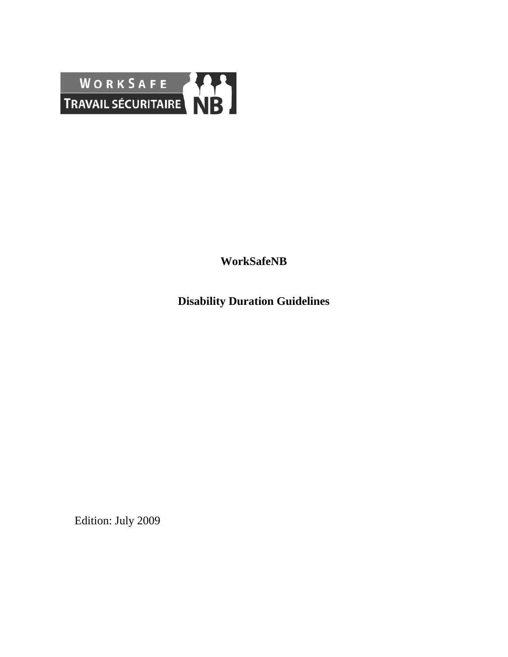

**WorkSafeNB** 

**Disability Duration Guidelines** 

Edition: July 2009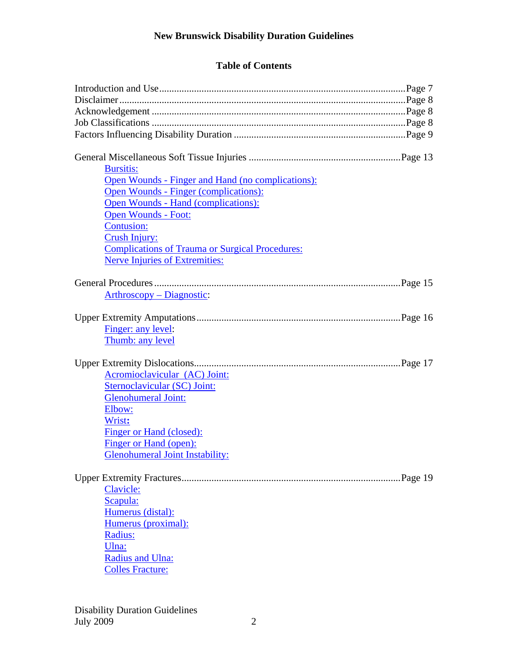| <b>Bursitis:</b><br>Open Wounds - Finger and Hand (no complications): |
|-----------------------------------------------------------------------|
| <b>Open Wounds - Finger (complications):</b>                          |
| Open Wounds - Hand (complications):                                   |
| <b>Open Wounds - Foot:</b><br><b>Contusion:</b>                       |
| Crush Injury:                                                         |
| <b>Complications of Trauma or Surgical Procedures:</b>                |
| <b>Nerve Injuries of Extremities:</b>                                 |
|                                                                       |
| Arthroscopy – Diagnostic:                                             |
|                                                                       |
| Finger: any level:                                                    |
| Thumb: any level                                                      |
|                                                                       |
|                                                                       |
| Acromioclavicular (AC) Joint:                                         |
| Sternoclavicular (SC) Joint:                                          |
| <b>Glenohumeral Joint:</b>                                            |
| Elbow:                                                                |
| Wrist:                                                                |
| Finger or Hand (closed):                                              |
| Finger or Hand (open):                                                |
| <b>Glenohumeral Joint Instability:</b>                                |
|                                                                       |
|                                                                       |
| Clavicle:                                                             |
| Scapula:                                                              |
| Humerus (distal):                                                     |
| Humerus (proximal):                                                   |
| Radius:                                                               |
| Ulna:                                                                 |
| Radius and Ulna:                                                      |
| <b>Colles Fracture:</b>                                               |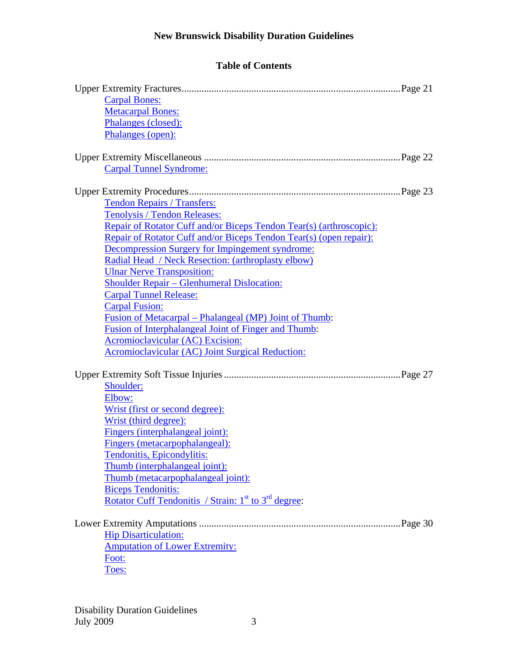| <b>Carpal Bones:</b>                                                                  |  |
|---------------------------------------------------------------------------------------|--|
| <b>Metacarpal Bones:</b>                                                              |  |
| Phalanges (closed):                                                                   |  |
| Phalanges (open):                                                                     |  |
|                                                                                       |  |
|                                                                                       |  |
| <b>Carpal Tunnel Syndrome:</b>                                                        |  |
|                                                                                       |  |
| <b>Tendon Repairs / Transfers:</b>                                                    |  |
| Tenolysis / Tendon Releases:                                                          |  |
| Repair of Rotator Cuff and/or Biceps Tendon Tear(s) (arthroscopic):                   |  |
| Repair of Rotator Cuff and/or Biceps Tendon Tear(s) (open repair):                    |  |
| Decompression Surgery for Impingement syndrome:                                       |  |
| Radial Head / Neck Resection: (arthroplasty elbow)                                    |  |
| <b>Ulnar Nerve Transposition:</b>                                                     |  |
| <b>Shoulder Repair – Glenhumeral Dislocation:</b>                                     |  |
| <b>Carpal Tunnel Release:</b>                                                         |  |
| <b>Carpal Fusion:</b>                                                                 |  |
| <u> Fusion of Metacarpal – Phalangeal (MP) Joint of Thumb:</u>                        |  |
| Fusion of Interphalangeal Joint of Finger and Thumb:                                  |  |
| <b>Acromioclavicular (AC) Excision:</b>                                               |  |
| Acromioclavicular (AC) Joint Surgical Reduction:                                      |  |
|                                                                                       |  |
| Shoulder:                                                                             |  |
| Elbow:                                                                                |  |
| Wrist (first or second degree):                                                       |  |
| Wrist (third degree):                                                                 |  |
| Fingers (interphalangeal joint):                                                      |  |
| Fingers (metacarpophalangeal):                                                        |  |
| Tendonitis, Epicondylitis:                                                            |  |
| Thumb (interphalangeal joint):                                                        |  |
| Thumb (metacarpophalangeal joint):                                                    |  |
| <b>Biceps Tendonitis:</b>                                                             |  |
| <u>Rotator Cuff Tendonitis / Strain: <math>1st</math> to <math>3rd</math> degree:</u> |  |
|                                                                                       |  |
|                                                                                       |  |
| <b>Hip Disarticulation:</b>                                                           |  |
| <b>Amputation of Lower Extremity:</b>                                                 |  |
| Foot:                                                                                 |  |
| Toes:                                                                                 |  |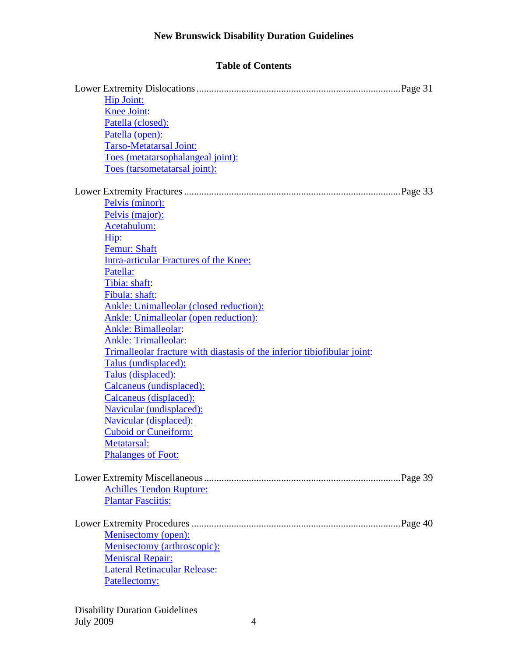| <b>Hip Joint:</b>                                                        |  |
|--------------------------------------------------------------------------|--|
| <b>Knee Joint:</b>                                                       |  |
| Patella (closed):                                                        |  |
| Patella (open):                                                          |  |
| Tarso-Metatarsal Joint:                                                  |  |
| Toes (metatarsophalangeal joint):                                        |  |
| Toes (tarsometatarsal joint):                                            |  |
|                                                                          |  |
|                                                                          |  |
| Pelvis (minor):                                                          |  |
| Pelvis (major):                                                          |  |
| Acetabulum:                                                              |  |
| Hip:                                                                     |  |
| Femur: Shaft                                                             |  |
| <b>Intra-articular Fractures of the Knee:</b>                            |  |
| Patella:                                                                 |  |
| Tibia: shaft:                                                            |  |
| Fibula: shaft:                                                           |  |
| Ankle: Unimalleolar (closed reduction):                                  |  |
| <b>Ankle: Unimalleolar (open reduction):</b>                             |  |
| <b>Ankle: Bimalleolar:</b>                                               |  |
| <b>Ankle: Trimalleolar:</b>                                              |  |
| Trimalleolar fracture with diastasis of the inferior tibiofibular joint: |  |
| Talus (undisplaced):                                                     |  |
| Talus (displaced):                                                       |  |
| Calcaneus (undisplaced):                                                 |  |
| Calcaneus (displaced):                                                   |  |
| Navicular (undisplaced):                                                 |  |
| <b>Navicular (displaced):</b>                                            |  |
| <b>Cuboid or Cuneiform:</b>                                              |  |
| <b>Metatarsal:</b>                                                       |  |
| <b>Phalanges of Foot:</b>                                                |  |
|                                                                          |  |
|                                                                          |  |
| <b>Achilles Tendon Rupture:</b>                                          |  |
| <b>Plantar Fasciitis:</b>                                                |  |
|                                                                          |  |
| <b>Menisectomy (open):</b>                                               |  |
| Menisectomy (arthroscopic):                                              |  |
| <b>Meniscal Repair:</b>                                                  |  |
| <b>Lateral Retinacular Release:</b>                                      |  |
| Patellectomy:                                                            |  |
|                                                                          |  |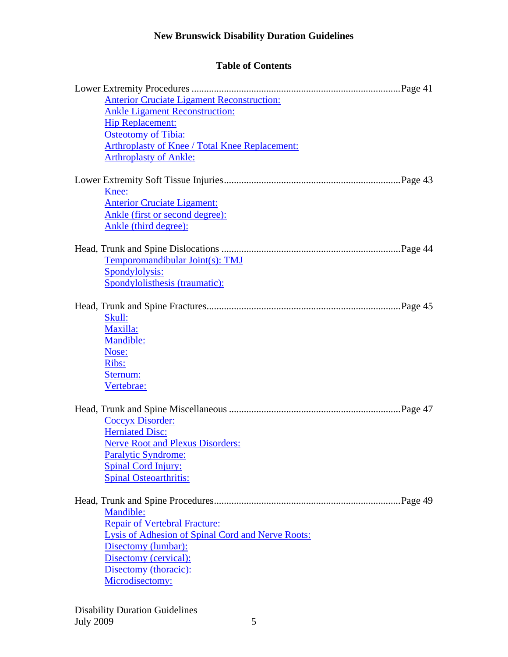| <b>Anterior Cruciate Ligament Reconstruction:</b>        |
|----------------------------------------------------------|
| <b>Ankle Ligament Reconstruction:</b>                    |
| <b>Hip Replacement:</b>                                  |
| <b>Osteotomy of Tibia:</b>                               |
| <b>Arthroplasty of Knee / Total Knee Replacement:</b>    |
| <b>Arthroplasty of Ankle:</b>                            |
|                                                          |
| Knee:                                                    |
| <b>Anterior Cruciate Ligament:</b>                       |
| Ankle (first or second degree):                          |
| Ankle (third degree):                                    |
|                                                          |
|                                                          |
| Temporomandibular Joint(s): TMJ                          |
| Spondylolysis:                                           |
| Spondylolisthesis (traumatic):                           |
|                                                          |
| Skull:                                                   |
| Maxilla:                                                 |
| Mandible:                                                |
| Nose:                                                    |
| Ribs:                                                    |
| Sternum:                                                 |
| Vertebrae:                                               |
|                                                          |
|                                                          |
| Coccyx Disorder:                                         |
| <b>Herniated Disc:</b>                                   |
| <b>Nerve Root and Plexus Disorders:</b>                  |
| Paralytic Syndrome:                                      |
| <b>Spinal Cord Injury:</b>                               |
| <b>Spinal Osteoarthritis:</b>                            |
|                                                          |
| Mandible:                                                |
| <b>Repair of Vertebral Fracture:</b>                     |
|                                                          |
| <b>Lysis of Adhesion of Spinal Cord and Nerve Roots:</b> |
| Disectomy (lumbar):<br>Disectomy (cervical):             |
| Disectomy (thoracic):                                    |
| Microdisectomy:                                          |
|                                                          |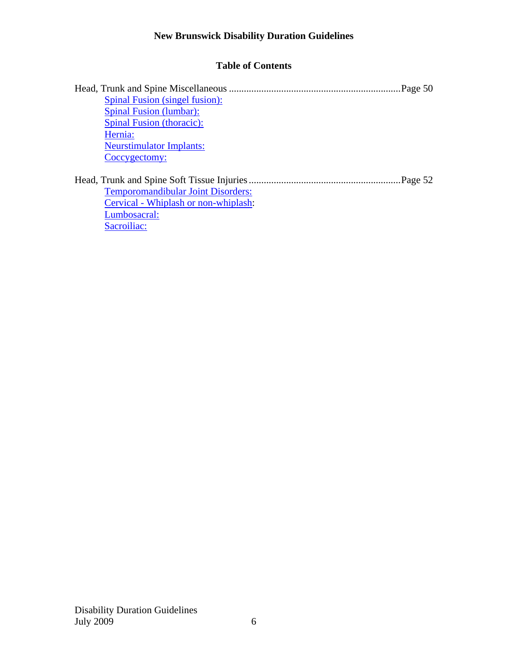|                                           | Page 50 |
|-------------------------------------------|---------|
| Spinal Fusion (singel fusion):            |         |
| <b>Spinal Fusion (lumbar):</b>            |         |
| <b>Spinal Fusion (thoracic):</b>          |         |
| Hernia:                                   |         |
| <b>Neurstimulator Implants:</b>           |         |
| Coccygectomy:                             |         |
|                                           |         |
| <b>Temporomandibular Joint Disorders:</b> |         |
| Cervical - Whiplash or non-whiplash:      |         |
| Lumbosacral:                              |         |
| Sacroiliac:                               |         |
|                                           |         |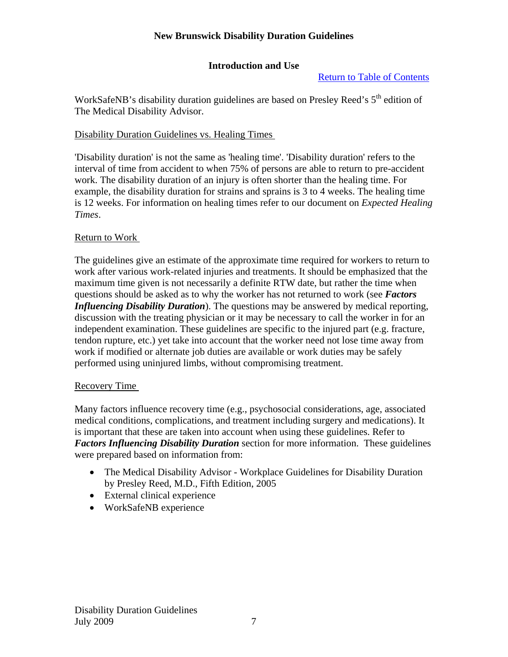# **Introduction and Use**

Return to Table of Contents

WorkSafeNB's disability duration guidelines are based on Presley Reed's  $5<sup>th</sup>$  edition of The Medical Disability Advisor.

# Disability Duration Guidelines vs. Healing Times

'Disability duration' is not the same as 'healing time'. 'Disability duration' refers to the interval of time from accident to when 75% of persons are able to return to pre-accident work. The disability duration of an injury is often shorter than the healing time. For example, the disability duration for strains and sprains is 3 to 4 weeks. The healing time is 12 weeks. For information on healing times refer to our document on *Expected Healing Times*.

# Return to Work

The guidelines give an estimate of the approximate time required for workers to return to work after various work-related injuries and treatments. It should be emphasized that the maximum time given is not necessarily a definite RTW date, but rather the time when questions should be asked as to why the worker has not returned to work (see *Factors Influencing Disability Duration*). The questions may be answered by medical reporting, discussion with the treating physician or it may be necessary to call the worker in for an independent examination. These guidelines are specific to the injured part (e.g. fracture, tendon rupture, etc.) yet take into account that the worker need not lose time away from work if modified or alternate job duties are available or work duties may be safely performed using uninjured limbs, without compromising treatment.

# Recovery Time

Many factors influence recovery time (e.g., psychosocial considerations, age, associated medical conditions, complications, and treatment including surgery and medications). It is important that these are taken into account when using these guidelines. Refer to *Factors Influencing Disability Duration* section for more information. These guidelines were prepared based on information from:

- The Medical Disability Advisor Workplace Guidelines for Disability Duration by Presley Reed, M.D., Fifth Edition, 2005
- External clinical experience
- WorkSafeNB experience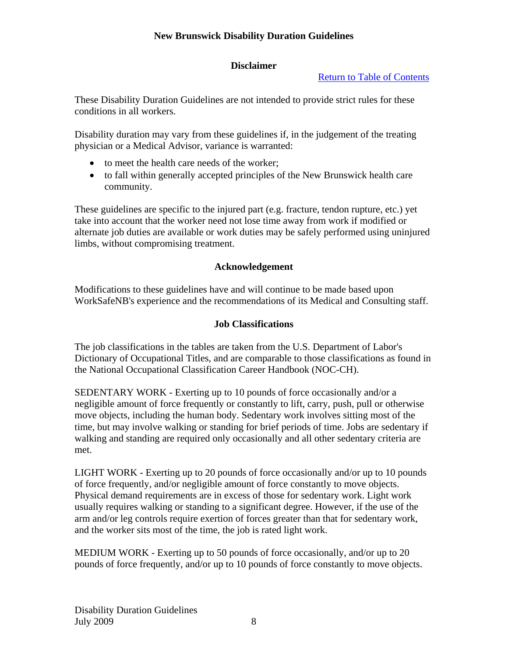# **Disclaimer**

# Return to Table of Contents

These Disability Duration Guidelines are not intended to provide strict rules for these conditions in all workers.

Disability duration may vary from these guidelines if, in the judgement of the treating physician or a Medical Advisor, variance is warranted:

- to meet the health care needs of the worker;
- to fall within generally accepted principles of the New Brunswick health care community.

These guidelines are specific to the injured part (e.g. fracture, tendon rupture, etc.) yet take into account that the worker need not lose time away from work if modified or alternate job duties are available or work duties may be safely performed using uninjured limbs, without compromising treatment.

# **Acknowledgement**

Modifications to these guidelines have and will continue to be made based upon WorkSafeNB's experience and the recommendations of its Medical and Consulting staff.

# **Job Classifications**

The job classifications in the tables are taken from the U.S. Department of Labor's Dictionary of Occupational Titles, and are comparable to those classifications as found in the National Occupational Classification Career Handbook (NOC-CH).

SEDENTARY WORK - Exerting up to 10 pounds of force occasionally and/or a negligible amount of force frequently or constantly to lift, carry, push, pull or otherwise move objects, including the human body. Sedentary work involves sitting most of the time, but may involve walking or standing for brief periods of time. Jobs are sedentary if walking and standing are required only occasionally and all other sedentary criteria are met.

LIGHT WORK - Exerting up to 20 pounds of force occasionally and/or up to 10 pounds of force frequently, and/or negligible amount of force constantly to move objects. Physical demand requirements are in excess of those for sedentary work. Light work usually requires walking or standing to a significant degree. However, if the use of the arm and/or leg controls require exertion of forces greater than that for sedentary work, and the worker sits most of the time, the job is rated light work.

MEDIUM WORK - Exerting up to 50 pounds of force occasionally, and/or up to 20 pounds of force frequently, and/or up to 10 pounds of force constantly to move objects.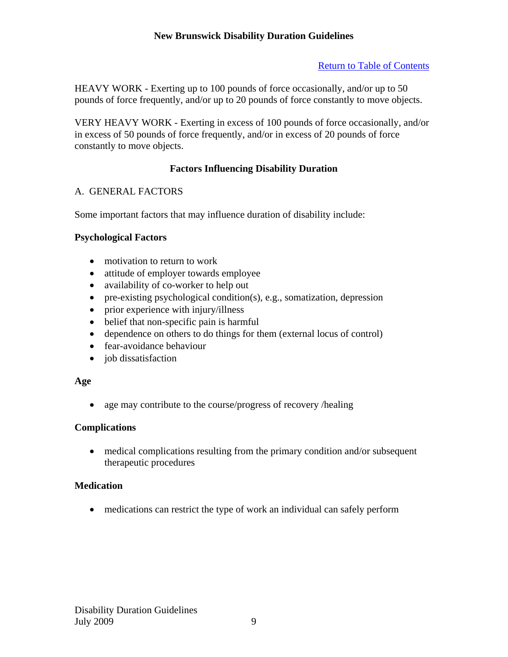# Return to Table of Contents

HEAVY WORK - Exerting up to 100 pounds of force occasionally, and/or up to 50 pounds of force frequently, and/or up to 20 pounds of force constantly to move objects.

VERY HEAVY WORK - Exerting in excess of 100 pounds of force occasionally, and/or in excess of 50 pounds of force frequently, and/or in excess of 20 pounds of force constantly to move objects.

# **Factors Influencing Disability Duration**

# A. GENERAL FACTORS

Some important factors that may influence duration of disability include:

# **Psychological Factors**

- motivation to return to work
- attitude of employer towards employee
- availability of co-worker to help out
- pre-existing psychological condition(s), e.g., somatization, depression
- prior experience with injury/illness
- belief that non-specific pain is harmful
- dependence on others to do things for them (external locus of control)
- fear-avoidance behaviour
- job dissatisfaction

### **Age**

• age may contribute to the course/progress of recovery /healing

# **Complications**

 medical complications resulting from the primary condition and/or subsequent therapeutic procedures

# **Medication**

medications can restrict the type of work an individual can safely perform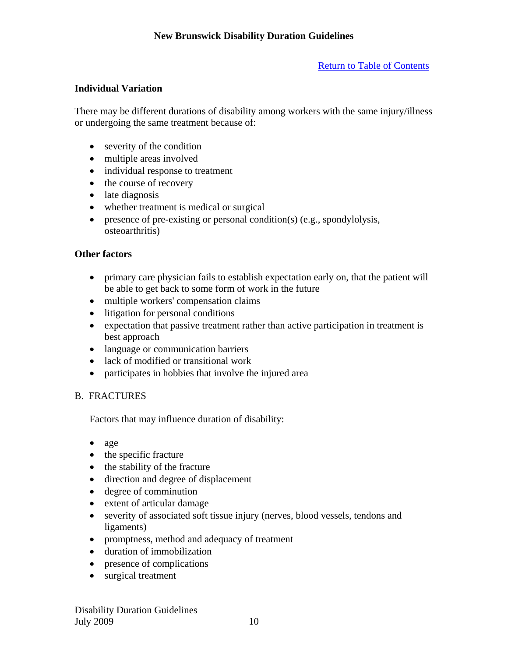Return to Table of Contents

# **Individual Variation**

There may be different durations of disability among workers with the same injury/illness or undergoing the same treatment because of:

- severity of the condition
- multiple areas involved
- individual response to treatment
- the course of recovery
- late diagnosis
- whether treatment is medical or surgical
- presence of pre-existing or personal condition(s) (e.g., spondylolysis, osteoarthritis)

# **Other factors**

- primary care physician fails to establish expectation early on, that the patient will be able to get back to some form of work in the future
- multiple workers' compensation claims
- litigation for personal conditions
- expectation that passive treatment rather than active participation in treatment is best approach
- language or communication barriers
- lack of modified or transitional work
- participates in hobbies that involve the injured area

# B. FRACTURES

Factors that may influence duration of disability:

- age
- the specific fracture
- the stability of the fracture
- direction and degree of displacement
- degree of comminution
- extent of articular damage
- severity of associated soft tissue injury (nerves, blood vessels, tendons and ligaments)
- promptness, method and adequacy of treatment
- duration of immobilization
- presence of complications
- surgical treatment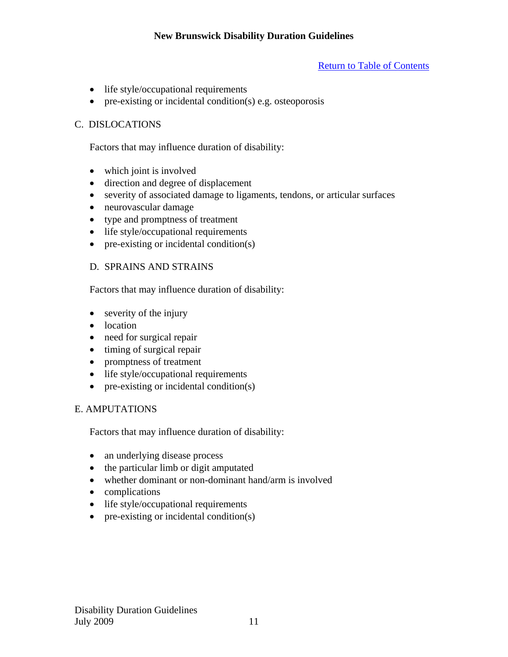# Return to Table of Contents

- life style/occupational requirements
- pre-existing or incidental condition(s) e.g. osteoporosis

# C. DISLOCATIONS

Factors that may influence duration of disability:

- which joint is involved
- direction and degree of displacement
- severity of associated damage to ligaments, tendons, or articular surfaces
- neurovascular damage
- type and promptness of treatment
- life style/occupational requirements
- $\bullet$  pre-existing or incidental condition(s)

# D. SPRAINS AND STRAINS

Factors that may influence duration of disability:

- severity of the injury
- location
- need for surgical repair
- $\bullet$  timing of surgical repair
- promptness of treatment
- life style/occupational requirements
- $\bullet$  pre-existing or incidental condition(s)

# E. AMPUTATIONS

Factors that may influence duration of disability:

- an underlying disease process
- the particular limb or digit amputated
- whether dominant or non-dominant hand/arm is involved
- complications
- life style/occupational requirements
- $\bullet$  pre-existing or incidental condition(s)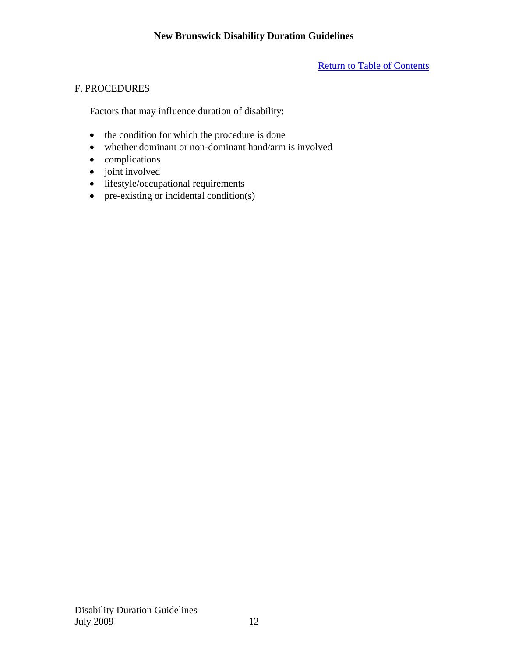# Return to Table of Contents

# F. PROCEDURES

Factors that may influence duration of disability:

- the condition for which the procedure is done
- whether dominant or non-dominant hand/arm is involved
- complications
- joint involved
- lifestyle/occupational requirements
- $\bullet$  pre-existing or incidental condition(s)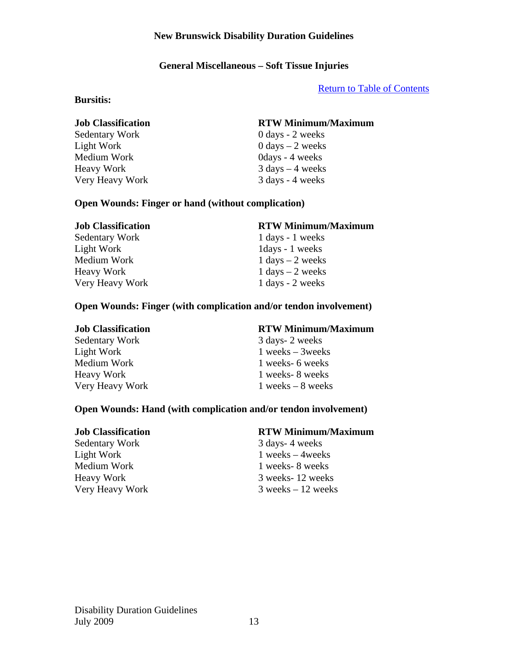# **General Miscellaneous – Soft Tissue Injuries**

Return to Table of Contents

### **Bursitis:**

Light Work  $0 \text{ days} - 2 \text{ weeks}$ Medium Work 0days - 4 weeks  $Heavy Work$  3 days  $-4$  weeks Very Heavy Work 3 days - 4 weeks

# **Job Classification RTW Minimum/Maximum**

Sedentary Work 0 days - 2 weeks

# **Open Wounds: Finger or hand (without complication)**

# **Job Classification RTW Minimum/Maximum**  Sedentary Work 1 days - 1 weeks Light Work 1days - 1 weeks Medium Work  $1 \text{ days} - 2 \text{ weeks}$  $Heavy Work$  1 days  $-2$  weeks Very Heavy Work 1 days - 2 weeks

# **Open Wounds: Finger (with complication and/or tendon involvement)**

Sedentary Work 3 days- 2 weeks Medium Work 1 weeks- 6 weeks Heavy Work 1 weeks- 8 weeks

# **Job Classification RTW Minimum/Maximum**

Light Work 1 weeks – 3weeks Very Heavy Work 1 weeks – 8 weeks

# **Open Wounds: Hand (with complication and/or tendon involvement)**

Sedentary Work 3 days- 4 weeks Light Work 1 weeks – 4 weeks Medium Work 1 weeks- 8 weeks

# **Job Classification RTW Minimum/Maximum**

Heavy Work 3 weeks- 12 weeks Very Heavy Work 3 weeks – 12 weeks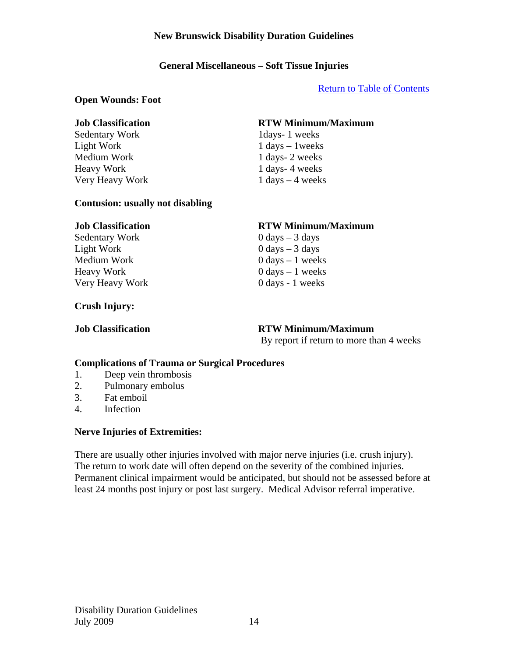# **General Miscellaneous – Soft Tissue Injuries**

#### Return to Table of Contents

#### **Open Wounds: Foot**

Sedentary Work 1days- 1 weeks Light Work  $1 \text{ days} - 1 \text{ weeks}$ Medium Work 1 days- 2 weeks Heavy Work 1 days- 4 weeks Very Heavy Work 1 days – 4 weeks

# **Job Classification RTW Minimum/Maximum**

### **Contusion: usually not disabling**

 $Sedentary Work$  0 days  $-3$  days Light Work 0 days – 3 days Medium Work  $0 \text{ days} - 1 \text{ weeks}$  $\frac{1}{2}$  Heavy Work 0 days – 1 weeks

### **Crush Injury:**

### **Job Classification RTW Minimum/Maximum**

Very Heavy Work 0 days - 1 weeks

#### **Job Classification RTW Minimum/Maximum**

By report if return to more than 4 weeks

#### **Complications of Trauma or Surgical Procedures**

- 1. Deep vein thrombosis
- 2. Pulmonary embolus
- 3. Fat emboil
- 4. Infection

### **Nerve Injuries of Extremities:**

There are usually other injuries involved with major nerve injuries (i.e. crush injury). The return to work date will often depend on the severity of the combined injuries. Permanent clinical impairment would be anticipated, but should not be assessed before at least 24 months post injury or post last surgery. Medical Advisor referral imperative.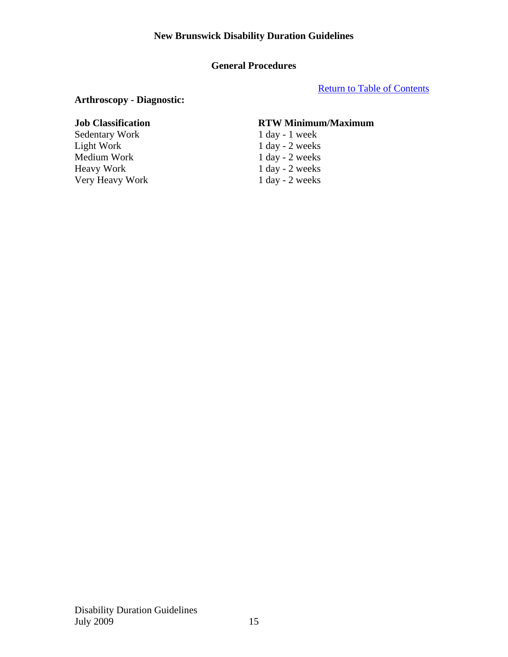# **General Procedures**

Return to Table of Contents

# **Arthroscopy - Diagnostic:**

Sedentary Work 1 day - 1 week Light Work 1 day - 2 weeks Medium Work 1 day - 2 weeks<br>
Heavy Work 1 day - 2 weeks Very Heavy Work

# **Job Classification RTW Minimum/Maximum**

 $1$  day - 2 weeks<br>1 day - 2 weeks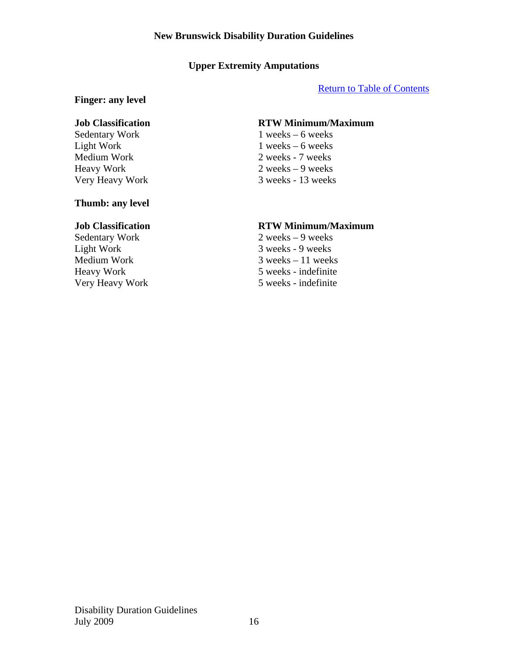# **Upper Extremity Amputations**

### Return to Table of Contents

### **Finger: any level**

### **Thumb: any level**

Light Work 3 weeks - 9 weeks

# **Job Classification RTW Minimum/Maximum**

Sedentary Work 1 weeks – 6 weeks Light Work 1 weeks – 6 weeks Medium Work 2 weeks - 7 weeks Heavy Work 2 weeks – 9 weeks Very Heavy Work 3 weeks - 13 weeks

# **Job Classification RTW Minimum/Maximum**

Sedentary Work 2 weeks – 9 weeks Medium Work 3 weeks – 11 weeks<br>Heavy Work 5 weeks - indefinite 5 weeks - indefinite Very Heavy Work 5 weeks - indefinite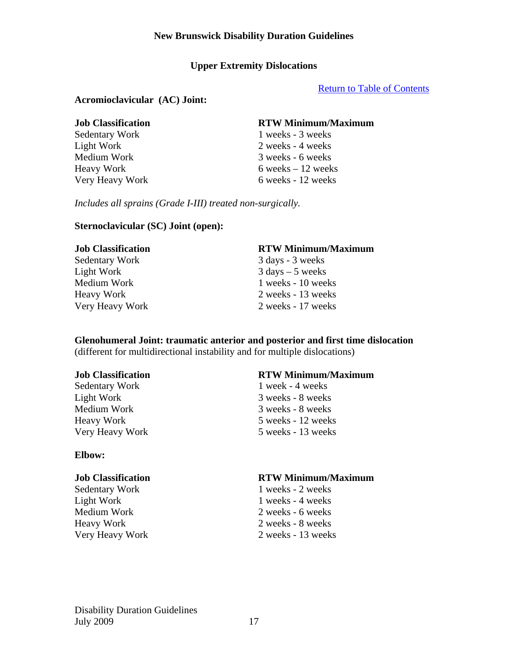# **Upper Extremity Dislocations**

Return to Table of Contents

# **Acromioclavicular (AC) Joint:**

| <b>Job Classification</b> | <b>RTW Minimum/Maximum</b> |
|---------------------------|----------------------------|
| <b>Sedentary Work</b>     | 1 weeks - 3 weeks          |
| Light Work                | 2 weeks - 4 weeks          |
| Medium Work               | 3 weeks - 6 weeks          |
| Heavy Work                | 6 weeks $-12$ weeks        |
| Very Heavy Work           | 6 weeks - 12 weeks         |

*Includes all sprains (Grade I-III) treated non-surgically.* 

### **Sternoclavicular (SC) Joint (open):**

| <b>Job Classification</b> | <b>RTW Minimum/Maximum</b>         |
|---------------------------|------------------------------------|
| Sedentary Work            | 3 days - 3 weeks                   |
| Light Work                | $3 \text{ days} - 5 \text{ weeks}$ |
| Medium Work               | 1 weeks - 10 weeks                 |
| <b>Heavy Work</b>         | 2 weeks - 13 weeks                 |
| Very Heavy Work           | 2 weeks - 17 weeks                 |

#### **Glenohumeral Joint: traumatic anterior and posterior and first time dislocation**  (different for multidirectional instability and for multiple dislocations)

Sedentary Work 1 week - 4 weeks Light Work 3 weeks - 8 weeks Medium Work 3 weeks - 8 weeks

### **Elbow:**

Light Work 1 weeks - 4 weeks Medium Work 2 weeks - 6 weeks Heavy Work 2 weeks - 8 weeks

### **Job Classification RTW Minimum/Maximum**

Heavy Work 5 weeks - 12 weeks Very Heavy Work 5 weeks - 13 weeks

#### **Job Classification RTW Minimum/Maximum**

Sedentary Work 1 weeks - 2 weeks Very Heavy Work 2 weeks - 13 weeks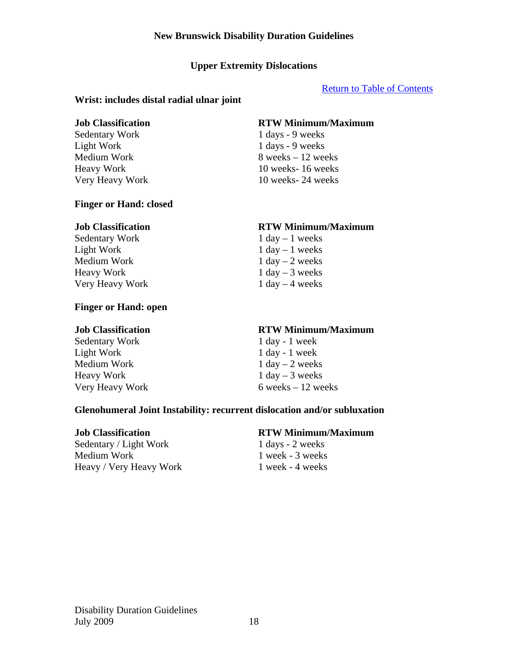# **Upper Extremity Dislocations**

# Return to Table of Contents

# **Wrist: includes distal radial ulnar joint**

Sedentary Work 1 days - 9 weeks Light Work 1 days - 9 weeks

### **Finger or Hand: closed**

Sedentary Work 1 day – 1 weeks Light Work  $1 \text{ day} - 1 \text{ weeks}$ Medium Work  $1 \text{ day} - 2 \text{ weeks}$  $Heavy Work$  1 day – 3 weeks Very Heavy Work 1 day – 4 weeks

# **Finger or Hand: open**

Sedentary Work 1 day - 1 week Light Work 1 day - 1 week Medium Work  $1 \text{ day} - 2 \text{ weeks}$  $Heavy Work$  1 day – 3 weeks

# **Job Classification RTW Minimum/Maximum**

Medium Work  $8$  weeks  $-12$  weeks Heavy Work 10 weeks- 16 weeks Very Heavy Work 10 weeks- 24 weeks

### **Job Classification RTW Minimum/Maximum**

### **Job Classification RTW Minimum/Maximum**

Very Heavy Work  $6$  weeks – 12 weeks

# **Glenohumeral Joint Instability: recurrent dislocation and/or subluxation**

Sedentary / Light Work 1 days - 2 weeks Medium Work 1 week - 3 weeks Heavy / Very Heavy Work 1 week - 4 weeks

### **Job Classification RTW Minimum/Maximum**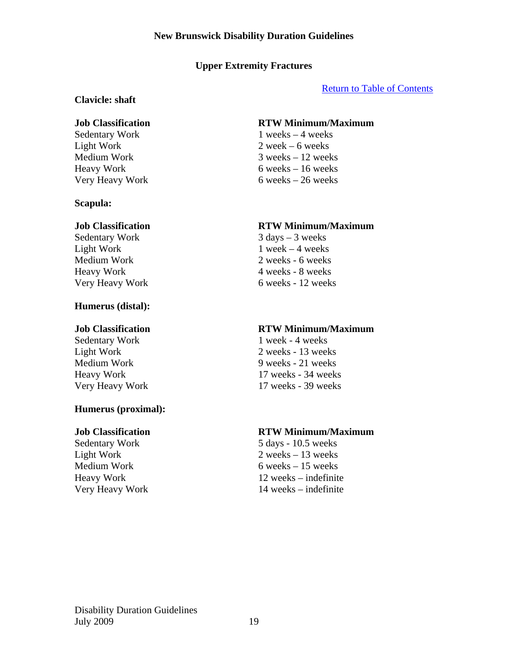# **Upper Extremity Fractures**

# Return to Table of Contents

### **Clavicle: shaft**

### **Scapula:**

Sedentary Work 3 days – 3 weeks Light Work  $1$  week – 4 weeks

# **Humerus (distal):**

# **Humerus (proximal):**

### **Job Classification RTW Minimum/Maximum**

Sedentary Work 1 weeks – 4 weeks Light Work 2 week – 6 weeks Medium Work 3 weeks – 12 weeks  $Heavy Work$  6 weeks – 16 weeks Very Heavy Work 6 weeks – 26 weeks

# **Job Classification RTW Minimum/Maximum**

Medium Work 2 weeks - 6 weeks Heavy Work 4 weeks - 8 weeks Very Heavy Work 6 weeks - 12 weeks

### **Job Classification RTW Minimum/Maximum**

Sedentary Work 1 week - 4 weeks Light Work 2 weeks - 13 weeks Medium Work 9 weeks - 21 weeks Heavy Work 17 weeks - 34 weeks Very Heavy Work 17 weeks - 39 weeks

# **Job Classification RTW Minimum/Maximum**

Sedentary Work 5 days - 10.5 weeks Light Work 2 weeks – 13 weeks Medium Work 6 weeks – 15 weeks Heavy Work 12 weeks – indefinite Very Heavy Work 14 weeks – indefinite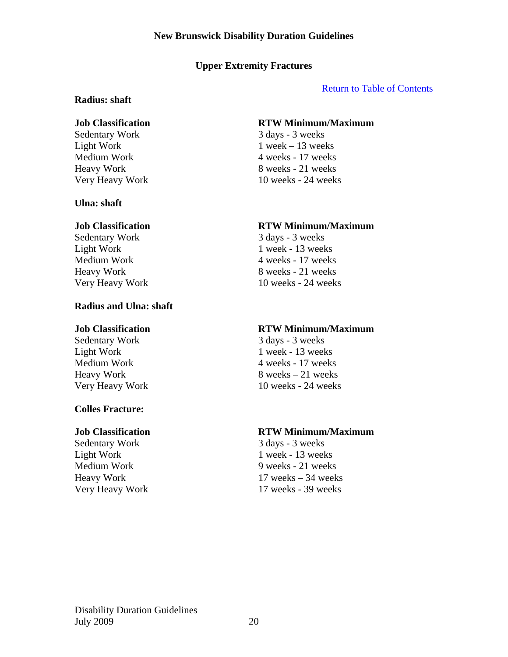# **Upper Extremity Fractures**

# Return to Table of Contents

# **Radius: shaft**

### **Ulna: shaft**

Sedentary Work 3 days - 3 weeks

# **Radius and Ulna: shaft**

# **Colles Fracture:**

Sedentary Work 3 days - 3 weeks

# **Job Classification RTW Minimum/Maximum**

Sedentary Work 3 days - 3 weeks Light Work  $1$  week – 13 weeks Medium Work 4 weeks - 17 weeks Heavy Work 8 weeks - 21 weeks Very Heavy Work 10 weeks - 24 weeks

# **Job Classification RTW Minimum/Maximum**

Light Work 1 week - 13 weeks Medium Work 4 weeks - 17 weeks Heavy Work 8 weeks - 21 weeks Very Heavy Work 10 weeks - 24 weeks

# **Job Classification RTW Minimum/Maximum**

Sedentary Work 3 days - 3 weeks Light Work 1 week - 13 weeks Medium Work 4 weeks - 17 weeks  $Heavy Work$  8 weeks – 21 weeks Very Heavy Work 10 weeks - 24 weeks

# **Job Classification RTW Minimum/Maximum**

Light Work 1 week - 13 weeks Medium Work 9 weeks - 21 weeks Heavy Work 17 weeks – 34 weeks Very Heavy Work 17 weeks - 39 weeks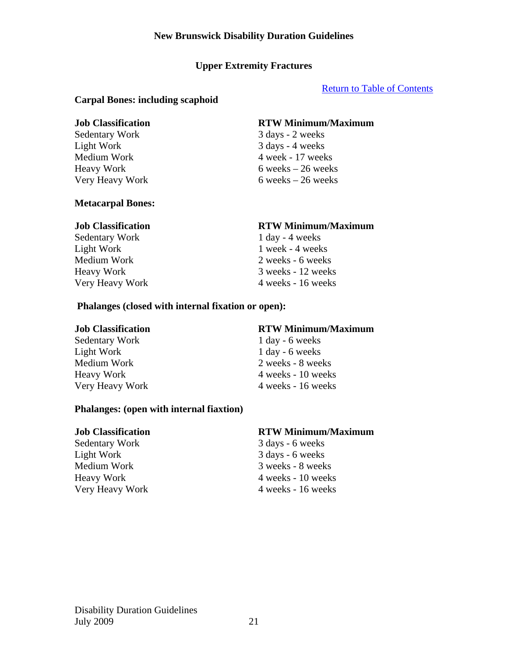# **Upper Extremity Fractures**

# Return to Table of Contents

### **Carpal Bones: including scaphoid**

Light Work 3 days - 4 weeks

# **Job Classification RTW Minimum/Maximum**

Sedentary Work 3 days - 2 weeks Medium Work 4 week - 17 weeks  $Heavy Work$  6 weeks – 26 weeks Very Heavy Work 6 weeks – 26 weeks

### **Metacarpal Bones:**

Sedentary Work 1 day - 4 weeks

### **Job Classification RTW Minimum/Maximum**

Light Work 1 week - 4 weeks Medium Work 2 weeks - 6 weeks Heavy Work 3 weeks - 12 weeks Very Heavy Work 4 weeks - 16 weeks

### **Phalanges (closed with internal fixation or open):**

Sedentary Work 1 day - 6 weeks Light Work 1 day - 6 weeks

### **Phalanges: (open with internal fiaxtion)**

Sedentary Work 3 days - 6 weeks Light Work 3 days - 6 weeks

### **Job Classification RTW Minimum/Maximum**

Medium Work 2 weeks - 8 weeks Heavy Work 4 weeks - 10 weeks Very Heavy Work 4 weeks - 16 weeks

### **Job Classification RTW Minimum/Maximum**

Medium Work 3 weeks - 8 weeks Heavy Work 4 weeks - 10 weeks Very Heavy Work 4 weeks - 16 weeks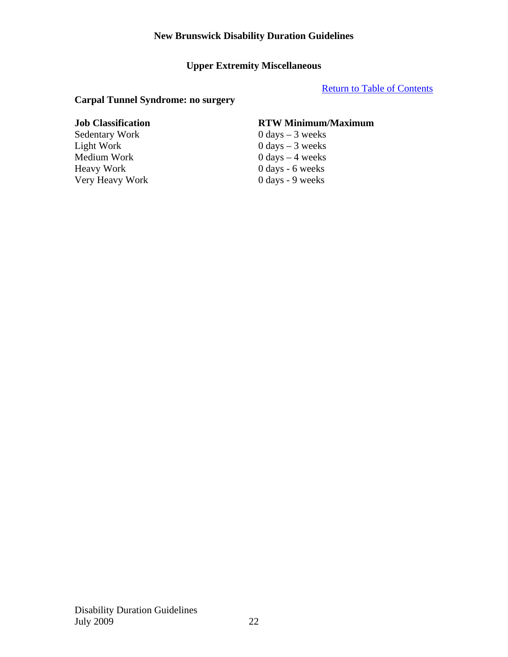# **Upper Extremity Miscellaneous**

# Return to Table of Contents

# **Carpal Tunnel Syndrome: no surgery**

Sedentary Work  $0 \text{ days} - 3 \text{ weeks}$ Light Work 0 days – 3 weeks Medium Work 0 days – 4 weeks<br>Heavy Work 0 days - 6 weeks Very Heavy Work

# **Job Classification RTW Minimum/Maximum**

 $0 \text{ days} - 6 \text{ weeks}$ <br> $0 \text{ days} - 9 \text{ weeks}$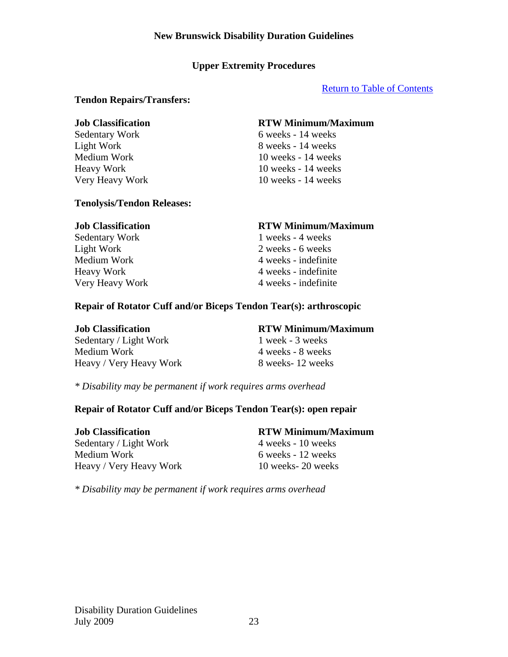# **Upper Extremity Procedures**

# Return to Table of Contents

### **Tendon Repairs/Transfers:**

# **Job Classification RTW Minimum/Maximum**

Sedentary Work 6 weeks - 14 weeks Light Work 8 weeks - 14 weeks Medium Work 10 weeks - 14 weeks Heavy Work 10 weeks - 14 weeks Very Heavy Work 10 weeks - 14 weeks

### **Tenolysis/Tendon Releases:**

# **Job Classification RTW Minimum/Maximum**  Sedentary Work 1 weeks - 4 weeks Light Work 2 weeks - 6 weeks Medium Work 4 weeks - indefinite Heavy Work 4 weeks - indefinite Very Heavy Work 4 weeks - indefinite

# **Repair of Rotator Cuff and/or Biceps Tendon Tear(s): arthroscopic**

| <b>Job Classification</b> | <b>RTW Minimum/Maximum</b> |
|---------------------------|----------------------------|
| Sedentary / Light Work    | 1 week - 3 weeks           |
| Medium Work               | 4 weeks - 8 weeks          |
| Heavy / Very Heavy Work   | 8 weeks-12 weeks           |

*\* Disability may be permanent if work requires arms overhead* 

# **Repair of Rotator Cuff and/or Biceps Tendon Tear(s): open repair**

Sedentary / Light Work 4 weeks - 10 weeks Medium Work 6 weeks - 12 weeks Heavy / Very Heavy Work 10 weeks- 20 weeks

# **Job Classification RTW Minimum/Maximum**

*\* Disability may be permanent if work requires arms overhead*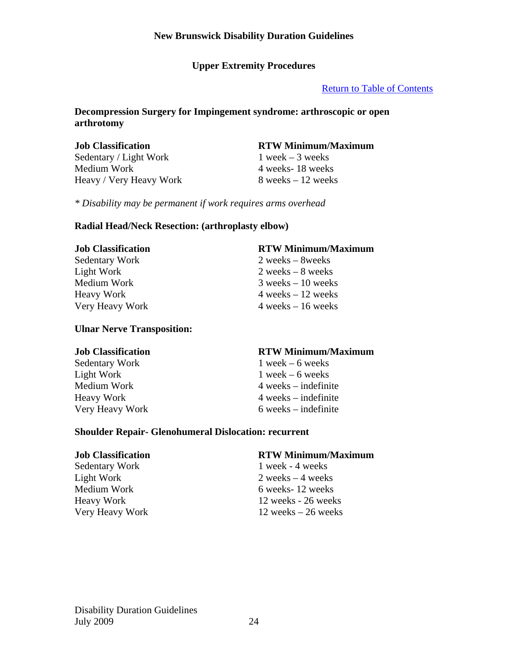# **Upper Extremity Procedures**

# Return to Table of Contents

# **Decompression Surgery for Impingement syndrome: arthroscopic or open arthrotomy**

Sedentary / Light Work 1 week – 3 weeks Medium Work 4 weeks- 18 weeks  $Heavy / Very Heavy Work$  8 weeks – 12 weeks

# **Job Classification RTW Minimum/Maximum**

*\* Disability may be permanent if work requires arms overhead* 

# **Radial Head/Neck Resection: (arthroplasty elbow)**

#### **Job Classification RTW Minimum/Maximum**

Sedentary Work 2 weeks – 8weeks Light Work 2 weeks – 8 weeks Medium Work 3 weeks – 10 weeks  $Heavy Work$  4 weeks – 12 weeks Very Heavy Work 4 weeks – 16 weeks

# **Ulnar Nerve Transposition:**

Sedentary Work 1 week – 6 weeks Light Work  $1$  week – 6 weeks

# **Job Classification RTW Minimum/Maximum**

Medium Work 1988 Medium Work 1988 Medium Work 1988 Medium Australian Australian Australian Australian Australian Australian Australian Australian Australian Australian Australian Australian Australian Australian Australian Heavy Work 4 weeks – indefinite Very Heavy Work 6 weeks – indefinite

### **Shoulder Repair- Glenohumeral Dislocation: recurrent**

Sedentary Work 1 week - 4 weeks

### **Job Classification RTW Minimum/Maximum**

Light Work 2 weeks – 4 weeks Medium Work 6 weeks- 12 weeks Heavy Work 12 weeks - 26 weeks Very Heavy Work 12 weeks – 26 weeks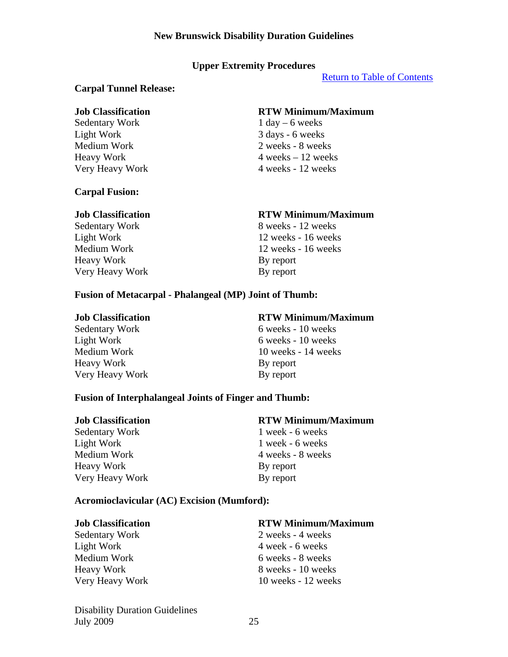# **Upper Extremity Procedures**

Return to Table of Contents

### **Carpal Tunnel Release:**

#### **Job Classification RTW Minimum/Maximum**

Sedentary Work 1 day – 6 weeks Light Work 3 days - 6 weeks

### **Carpal Fusion:**

Medium Work 2 weeks - 8 weeks  $Heavy Work$  4 weeks – 12 weeks Very Heavy Work 4 weeks - 12 weeks

Heavy Work By report Very Heavy Work By report

# **Job Classification RTW Minimum/Maximum**

Sedentary Work 8 weeks - 12 weeks Light Work 12 weeks - 16 weeks Medium Work 12 weeks - 16 weeks

### **Fusion of Metacarpal - Phalangeal (MP) Joint of Thumb:**

Heavy Work By report Very Heavy Work By report

### **Job Classification RTW Minimum/Maximum**

Sedentary Work 6 weeks - 10 weeks Light Work 6 weeks - 10 weeks Medium Work 10 weeks - 14 weeks

### **Fusion of Interphalangeal Joints of Finger and Thumb:**

Sedentary Work 1 week - 6 weeks Light Work 1 week - 6 weeks Medium Work 2008 1 and 4 weeks - 8 weeks Heavy Work By report Very Heavy Work By report

### **Job Classification RTW Minimum/Maximum**

### **Acromioclavicular (AC) Excision (Mumford):**

#### **Job Classification RTW Minimum/Maximum**

Sedentary Work 2 weeks - 4 weeks Light Work 4 week - 6 weeks Medium Work 6 weeks - 8 weeks

# Heavy Work 8 weeks - 10 weeks Very Heavy Work 10 weeks - 12 weeks

Disability Duration Guidelines July 2009 25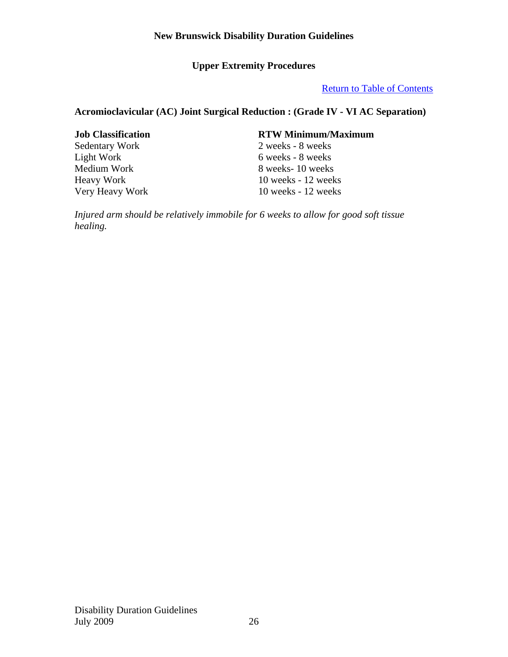# **Upper Extremity Procedures**

# Return to Table of Contents

# **Acromioclavicular (AC) Joint Surgical Reduction : (Grade IV - VI AC Separation)**

# **Job Classification RTW Minimum/Maximum**

Sedentary Work 2 weeks - 8 weeks<br>
Light Work 6 weeks - 8 weeks 6 weeks - 8 weeks Medium Work 8 weeks- 10 weeks<br>Heavy Work 10 weeks - 12 week 10 weeks - 12 weeks Very Heavy Work 10 weeks - 12 weeks

*Injured arm should be relatively immobile for 6 weeks to allow for good soft tissue healing.*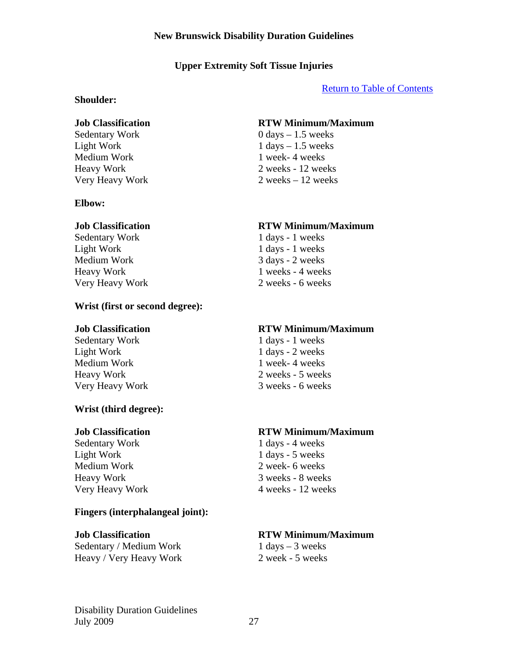# **Upper Extremity Soft Tissue Injuries**

### Return to Table of Contents

#### **Shoulder:**

Medium Work 1 week- 4 weeks

#### **Elbow:**

Sedentary Work 1 days - 1 weeks Light Work 1 days - 1 weeks Medium Work 3 days - 2 weeks

### **Wrist (first or second degree):**

Sedentary Work 1 days - 1 weeks Light Work 1 days - 2 weeks Medium Work 1 week- 4 weeks

### **Wrist (third degree):**

Sedentary Work 1 days - 4 weeks Light Work 1 days - 5 weeks Medium Work 2 week- 6 weeks

### **Fingers (interphalangeal joint):**

 $Sedentary / Medium Work$  1 days – 3 weeks Heavy / Very Heavy Work 2 week - 5 weeks

### **Job Classification RTW Minimum/Maximum**

 $Sedentary Work$  0 days  $-1.5$  weeks Light Work  $1 \text{ days} - 1.5 \text{ weeks}$ Heavy Work 2 weeks - 12 weeks Very Heavy Work 2 weeks – 12 weeks

### **Job Classification RTW Minimum/Maximum**

Heavy Work 1 weeks - 4 weeks Very Heavy Work 2 weeks - 6 weeks

#### **Job Classification RTW Minimum/Maximum**

Heavy Work 2 weeks - 5 weeks Very Heavy Work 3 weeks - 6 weeks

### **Job Classification RTW Minimum/Maximum**

Heavy Work 3 weeks - 8 weeks Very Heavy Work 4 weeks - 12 weeks

### **Job Classification RTW Minimum/Maximum**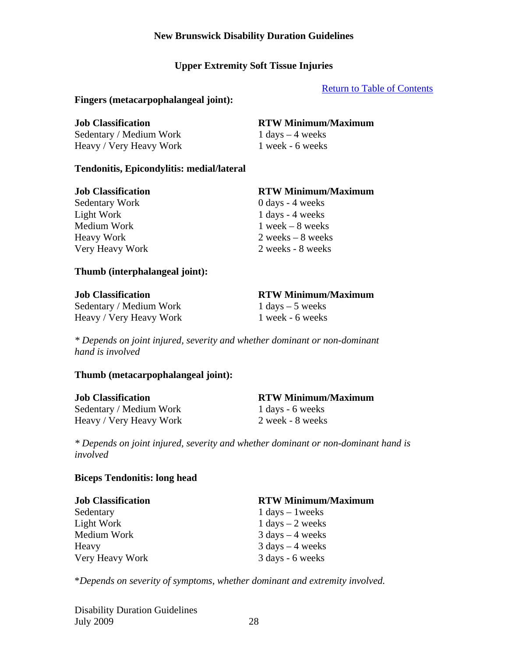# **Upper Extremity Soft Tissue Injuries**

### Return to Table of Contents

#### **Fingers (metacarpophalangeal joint):**

 $Sedentary / Medium Work$  1 days – 4 weeks Heavy / Very Heavy Work 1 week - 6 weeks

# **Job Classification RTW Minimum/Maximum**

### **Tendonitis, Epicondylitis: medial/lateral**

Sedentary Work 0 days - 4 weeks Light Work 1 days - 4 weeks Medium Work 1 week – 8 weeks

# **Job Classification RTW Minimum/Maximum**

Heavy Work 2 weeks – 8 weeks Very Heavy Work 2 weeks - 8 weeks

### **Thumb (interphalangeal joint):**

| <b>Job Classification</b> | <b>RTW Minimum</b> |
|---------------------------|--------------------|
| Sedentary / Medium Work   | 1 days $-5$ weeks  |
| Heavy / Very Heavy Work   | 1 week - 6 weeks   |

### **Job Classification RTW Minimum/Maximum**

*\* Depends on joint injured, severity and whether dominant or non-dominant hand is involved* 

### **Thumb (metacarpophalangeal joint):**

| <b>Job Classification</b> | <b>RTW Minimum/Maximum</b> |
|---------------------------|----------------------------|
| Sedentary / Medium Work   | 1 days - 6 weeks           |
| Heavy / Very Heavy Work   | 2 week - 8 weeks           |

*\* Depends on joint injured, severity and whether dominant or non-dominant hand is involved* 

### **Biceps Tendonitis: long head**

| <b>Job Classification</b> | <b>RTW Minimum/Maximum</b>         |
|---------------------------|------------------------------------|
| Sedentary                 | $1 \text{ days} - 1 \text{ weeks}$ |
| Light Work                | $1 \text{ days} - 2 \text{ weeks}$ |
| Medium Work               | $3 \text{ days} - 4 \text{ weeks}$ |
| Heavy                     | $3 \text{ days} - 4 \text{ weeks}$ |
| Very Heavy Work           | 3 days - 6 weeks                   |

\**Depends on severity of symptoms, whether dominant and extremity involved.* 

Disability Duration Guidelines July 2009 28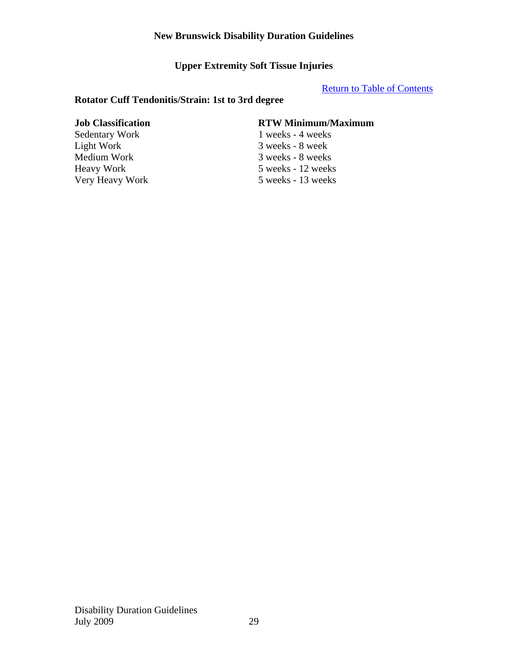**Upper Extremity Soft Tissue Injuries** 

Return to Table of Contents

# **Rotator Cuff Tendonitis/Strain: 1st to 3rd degree**

Light Work 3 weeks - 8 week

# **Job Classification RTW Minimum/Maximum**

Sedentary Work 1 weeks - 4 weeks Medium Work 3 weeks - 8 weeks<br>Heavy Work 5 weeks - 12 weeks 5 weeks - 12 weeks Very Heavy Work 5 weeks - 13 weeks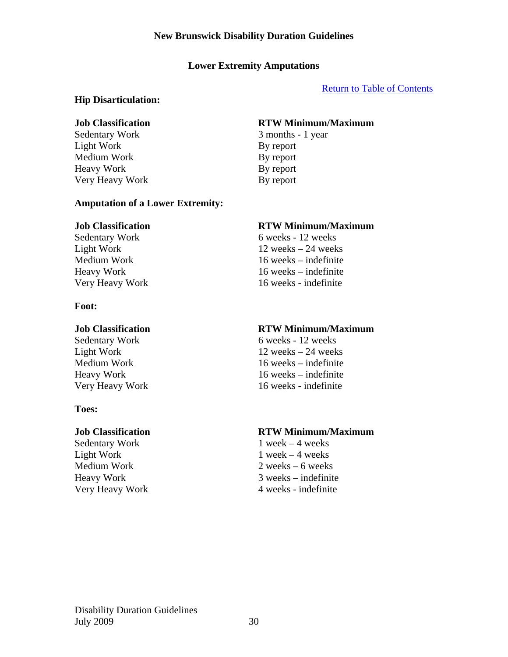# **Lower Extremity Amputations**

# Return to Table of Contents

# **Hip Disarticulation:**

Sedentary Work 3 months - 1 year Light Work By report Medium Work By report Heavy Work By report Very Heavy Work By report

# **Job Classification RTW Minimum/Maximum**

# **Amputation of a Lower Extremity:**

Heavy Work 16 weeks – indefinite

# **Foot:**

# **Toes:**

Sedentary Work 1 week – 4 weeks Light Work  $1$  week – 4 weeks

# **Job Classification RTW Minimum/Maximum**  Sedentary Work 6 weeks - 12 weeks Light Work 12 weeks – 24 weeks Medium Work 16 weeks – indefinite

Very Heavy Work 16 weeks - indefinite

### **Job Classification RTW Minimum/Maximum**

Sedentary Work 6 weeks - 12 weeks Light Work 12 weeks – 24 weeks Medium Work 16 weeks – indefinite<br>Heavy Work 16 weeks – indefinite  $16$  weeks – indefinite Very Heavy Work 16 weeks - indefinite

# **Job Classification RTW Minimum/Maximum**

Medium Work 2 weeks – 6 weeks Heavy Work 3 weeks – indefinite Very Heavy Work 4 weeks - indefinite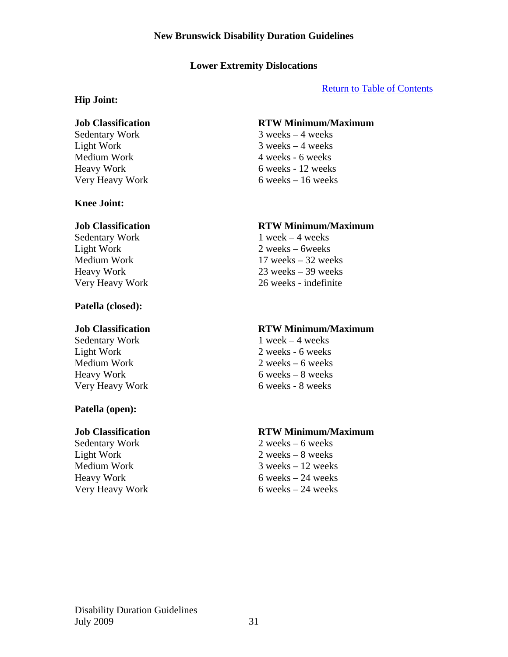# **Lower Extremity Dislocations**

### Return to Table of Contents

#### **Hip Joint:**

### **Knee Joint:**

Sedentary Work 1 week – 4 weeks

### **Patella (closed):**

### **Patella (open):**

### **Job Classification RTW Minimum/Maximum**

Sedentary Work 3 weeks – 4 weeks Light Work 3 weeks – 4 weeks Medium Work 4 weeks - 6 weeks Heavy Work 6 weeks - 12 weeks Very Heavy Work 6 weeks – 16 weeks

### **Job Classification RTW Minimum/Maximum**

Light Work 2 weeks – 6weeks Medium Work 17 weeks – 32 weeks Heavy Work 23 weeks – 39 weeks Very Heavy Work 26 weeks - indefinite

#### **Job Classification RTW Minimum/Maximum**

Sedentary Work 1 week – 4 weeks Light Work 2 weeks - 6 weeks Medium Work 2 weeks – 6 weeks  $Heavy Work$  6 weeks – 8 weeks Very Heavy Work 6 weeks - 8 weeks

### **Job Classification RTW Minimum/Maximum**

Sedentary Work 2 weeks – 6 weeks Light Work 2 weeks – 8 weeks Medium Work 3 weeks – 12 weeks  $Heavy Work$  6 weeks – 24 weeks Very Heavy Work 6 weeks – 24 weeks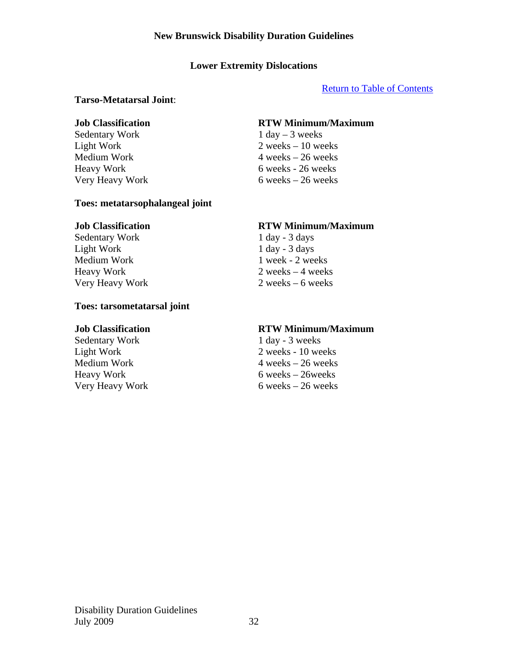# **Lower Extremity Dislocations**

# Return to Table of Contents

#### **Tarso-Metatarsal Joint**:

Sedentary Work 1 day – 3 weeks

#### **Toes: metatarsophalangeal joint**

Sedentary Work 1 day - 3 days Light Work 1 day - 3 days Medium Work 1 week - 2 weeks

#### **Toes: tarsometatarsal joint**

Sedentary Work 1 day - 3 weeks

# **Job Classification RTW Minimum/Maximum**

Light Work 2 weeks – 10 weeks  $Median Work$  4 weeks – 26 weeks Heavy Work 6 weeks - 26 weeks Very Heavy Work 6 weeks – 26 weeks

### **Job Classification RTW Minimum/Maximum**

Heavy Work 2 weeks – 4 weeks Very Heavy Work 2 weeks – 6 weeks

#### **Job Classification RTW Minimum/Maximum**

Light Work 2 weeks - 10 weeks Medium Work 4 weeks – 26 weeks<br>
Heavy Work 6 weeks – 26 weeks  $6$  weeks – 26weeks Very Heavy Work 6 weeks – 26 weeks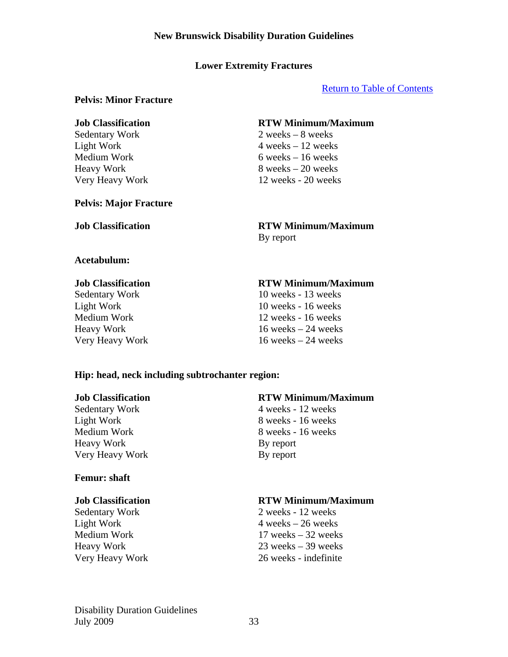### Return to Table of Contents

### **Pelvis: Minor Fracture**

#### **Pelvis: Major Fracture**

### **Job Classification RTW Minimum/Maximum**

Sedentary Work 2 weeks – 8 weeks Light Work  $4 \text{ weeks} - 12 \text{ weeks}$  $Median Work$  6 weeks – 16 weeks  $Heavy Work$  8 weeks – 20 weeks Very Heavy Work 12 weeks - 20 weeks

# **Job Classification RTW Minimum/Maximum**

By report

# **Acetabulum:**

### **Job Classification RTW Minimum/Maximum**

Sedentary Work 10 weeks - 13 weeks Light Work 10 weeks - 16 weeks Medium Work 12 weeks - 16 weeks Heavy Work 16 weeks – 24 weeks Very Heavy Work 16 weeks – 24 weeks

### **Hip: head, neck including subtrochanter region:**

Heavy Work By report Very Heavy Work By report

### **Femur: shaft**

### **Job Classification RTW Minimum/Maximum**

Sedentary Work 4 weeks - 12 weeks Light Work 8 weeks - 16 weeks Medium Work 8 weeks - 16 weeks

# **Job Classification RTW Minimum/Maximum**

Sedentary Work 2 weeks - 12 weeks Light Work  $4 \text{ weeks} - 26 \text{ weeks}$ Medium Work 17 weeks – 32 weeks Heavy Work 23 weeks – 39 weeks Very Heavy Work 26 weeks - indefinite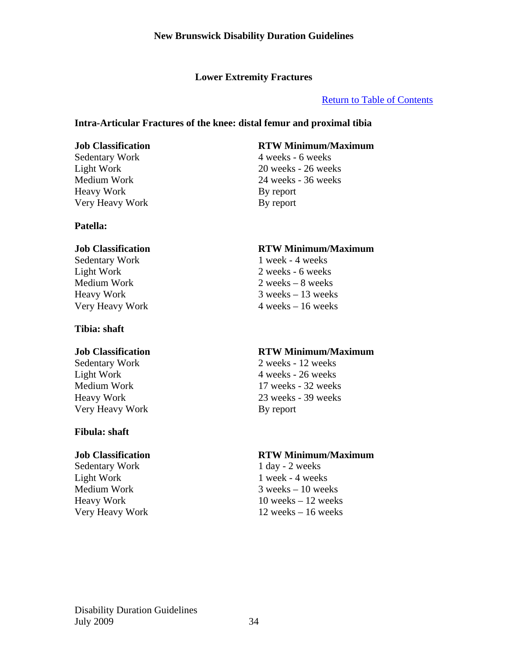# Return to Table of Contents

# **Intra-Articular Fractures of the knee: distal femur and proximal tibia**

Sedentary Work 4 weeks - 6 weeks Heavy Work By report Very Heavy Work By report

### **Patella:**

Light Work 2 weeks - 6 weeks Medium Work 2 weeks – 8 weeks

# **Tibia: shaft**

Very Heavy Work By report

### **Fibula: shaft**

Sedentary Work 1 day - 2 weeks Light Work 1 week - 4 weeks

# **Job Classification RTW Minimum/Maximum**

Light Work 20 weeks - 26 weeks Medium Work 24 weeks - 36 weeks

### **Job Classification RTW Minimum/Maximum**

Sedentary Work 1 week - 4 weeks Heavy Work 3 weeks – 13 weeks Very Heavy Work 4 weeks – 16 weeks

# **Job Classification RTW Minimum/Maximum**

Sedentary Work 2 weeks - 12 weeks Light Work 4 weeks - 26 weeks Medium Work 17 weeks - 32 weeks Heavy Work 23 weeks - 39 weeks

### **Job Classification RTW Minimum/Maximum**

Medium Work 3 weeks – 10 weeks Heavy Work 10 weeks – 12 weeks Very Heavy Work 12 weeks – 16 weeks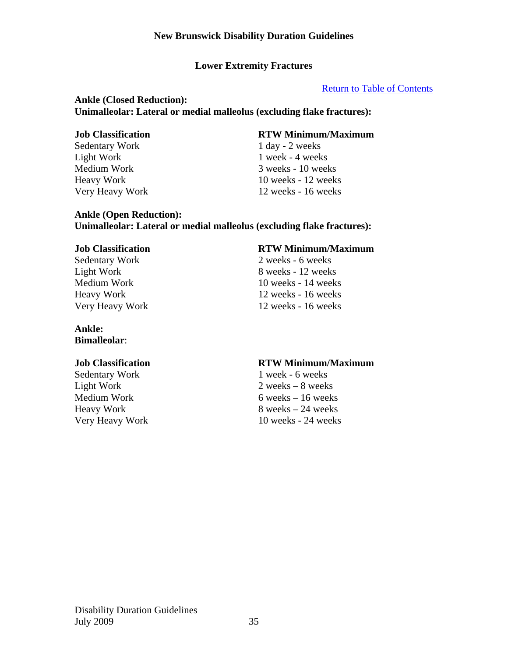# Return to Table of Contents

# **Ankle (Closed Reduction): Unimalleolar: Lateral or medial malleolus (excluding flake fractures):**

Sedentary Work 1 day - 2 weeks Light Work 1 week - 4 weeks

# **Job Classification RTW Minimum/Maximum**

Medium Work 3 weeks - 10 weeks Heavy Work 10 weeks - 12 weeks Very Heavy Work 12 weeks - 16 weeks

### **Ankle (Open Reduction): Unimalleolar: Lateral or medial malleolus (excluding flake fractures):**

Sedentary Work 2 weeks - 6 weeks

# **Ankle:**

**Bimalleolar**:

Sedentary Work 1 week - 6 weeks

# **Job Classification RTW Minimum/Maximum**

Light Work 8 weeks - 12 weeks Medium Work 10 weeks - 14 weeks Heavy Work 12 weeks - 16 weeks Very Heavy Work 12 weeks - 16 weeks

# **Job Classification RTW Minimum/Maximum**

Light Work 2 weeks – 8 weeks Medium Work 6 weeks – 16 weeks Heavy Work 8 weeks – 24 weeks Very Heavy Work 10 weeks - 24 weeks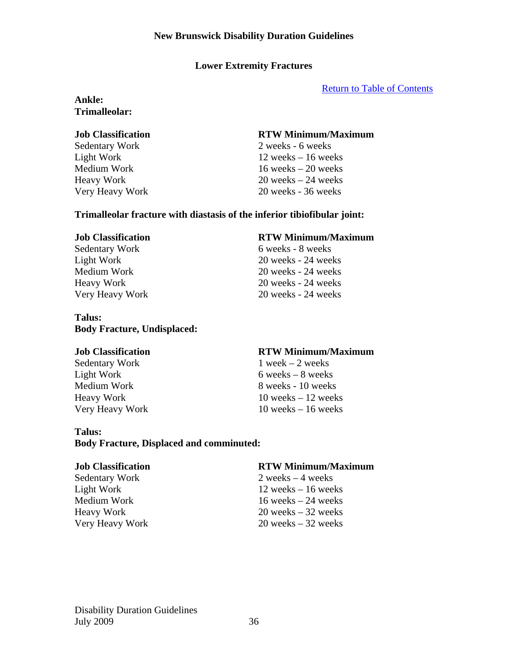Return to Table of Contents

# **Ankle: Trimalleolar:**

# **Job Classification RTW Minimum/Maximum**

Sedentary Work 2 weeks - 6 weeks Light Work 12 weeks – 16 weeks Medium Work 16 weeks – 20 weeks Heavy Work 20 weeks – 24 weeks Very Heavy Work 20 weeks - 36 weeks

### **Trimalleolar fracture with diastasis of the inferior tibiofibular joint:**

### **Job Classification RTW Minimum/Maximum**

Sedentary Work 6 weeks - 8 weeks Light Work 20 weeks - 24 weeks Medium Work 20 weeks - 24 weeks Heavy Work 20 weeks - 24 weeks Very Heavy Work 20 weeks - 24 weeks

### **Talus: Body Fracture, Undisplaced:**

### **Job Classification RTW Minimum/Maximum**

Sedentary Work 1 week – 2 weeks Light Work  $6 \text{ weeks} - 8 \text{ weeks}$ Medium Work 8 weeks - 10 weeks Heavy Work 10 weeks – 12 weeks

### **Talus:**

# **Body Fracture, Displaced and comminuted:**

Sedentary Work 2 weeks – 4 weeks

Very Heavy Work 10 weeks – 16 weeks

### **Job Classification RTW Minimum/Maximum**

Light Work 12 weeks – 16 weeks Medium Work 16 weeks – 24 weeks Heavy Work 20 weeks – 32 weeks Very Heavy Work 20 weeks – 32 weeks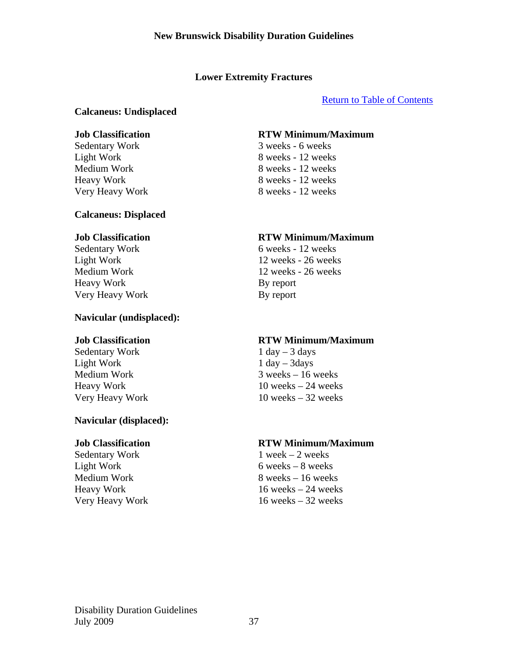# Return to Table of Contents

# **Calcaneus: Undisplaced**

### **Calcaneus: Displaced**

Heavy Work By report Very Heavy Work By report

### **Navicular (undisplaced):**

Sedentary Work 1 day – 3 days Light Work 1 day – 3days

# **Navicular (displaced):**

Sedentary Work 1 week – 2 weeks

### **Job Classification RTW Minimum/Maximum**

Sedentary Work 3 weeks - 6 weeks Light Work 8 weeks - 12 weeks<br>
Medium Work 8 weeks - 12 weeks 8 weeks - 12 weeks Heavy Work 8 weeks - 12 weeks Very Heavy Work 8 weeks - 12 weeks

### **Job Classification RTW Minimum/Maximum**

Sedentary Work 6 weeks - 12 weeks Light Work 12 weeks - 26 weeks Medium Work 12 weeks - 26 weeks

# **Job Classification RTW Minimum/Maximum**

Medium Work 3 weeks – 16 weeks Heavy Work 10 weeks – 24 weeks Very Heavy Work 10 weeks – 32 weeks

### **Job Classification RTW Minimum/Maximum**

Light Work  $6 \text{ weeks} - 8 \text{ weeks}$  $\text{Median Work} \quad 8 \text{ weeks} - 16 \text{ weeks}$ Heavy Work 16 weeks – 24 weeks Very Heavy Work 16 weeks – 32 weeks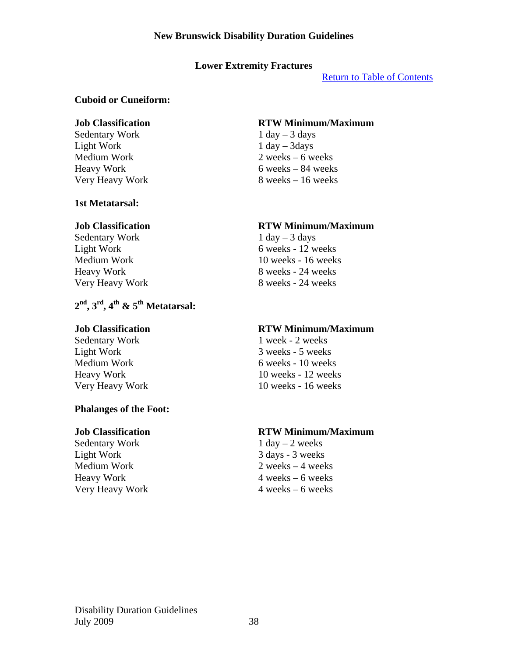### **Lower Extremity Fractures**

Return to Table of Contents

### **Cuboid or Cuneiform:**

Sedentary Work 1 day – 3 days Light Work  $1 \text{ day} - 3 \text{ days}$ 

### **1st Metatarsal:**

Sedentary Work  $1 \text{ day} - 3 \text{ days}$ 

# **2nd, 3rd, 4th & 5th Metatarsal:**

# **Phalanges of the Foot:**

Sedentary Work 1 day – 2 weeks Light Work 3 days - 3 weeks

### **Job Classification RTW Minimum/Maximum**

Medium Work 2 weeks – 6 weeks Heavy Work 6 weeks – 84 weeks Very Heavy Work 8 weeks – 16 weeks

### **Job Classification RTW Minimum/Maximum**

Light Work 6 weeks - 12 weeks Medium Work 10 weeks - 16 weeks Heavy Work 8 weeks - 24 weeks Very Heavy Work 8 weeks - 24 weeks

### **Job Classification RTW Minimum/Maximum**

Sedentary Work 1 week - 2 weeks Light Work 3 weeks - 5 weeks Medium Work 6 weeks - 10 weeks Heavy Work 10 weeks - 12 weeks Very Heavy Work 10 weeks - 16 weeks

# **Job Classification RTW Minimum/Maximum**

Medium Work 2 weeks – 4 weeks Heavy Work 4 weeks – 6 weeks Very Heavy Work 4 weeks – 6 weeks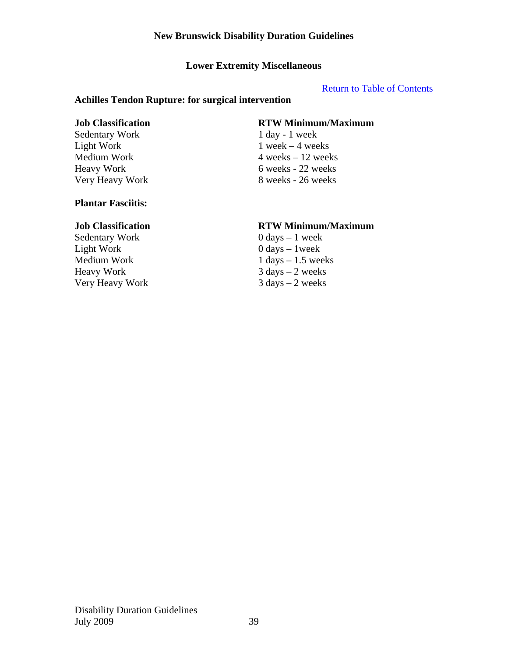# **Lower Extremity Miscellaneous**

### Return to Table of Contents

#### **Achilles Tendon Rupture: for surgical intervention**

Sedentary Work 1 day - 1 week

# **Job Classification RTW Minimum/Maximum**

Light Work 1 week – 4 weeks  $Median Work$  4 weeks – 12 weeks Heavy Work 6 weeks - 22 weeks Very Heavy Work 8 weeks - 26 weeks

# **Plantar Fasciitis:**

Sedentary Work 0 days – 1 week Light Work 0 days – 1 week Very Heavy Work

### **Job Classification RTW Minimum/Maximum**

Medium Work 1 days – 1.5 weeks<br>
Heavy Work 3 days – 2 weeks  $3 \text{ days} - 2 \text{ weeks}$ <br> $3 \text{ days} - 2 \text{ weeks}$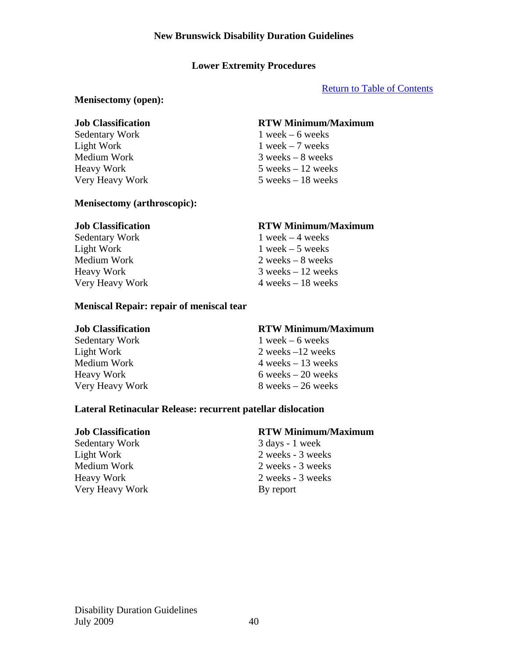# **Lower Extremity Procedures**

# Return to Table of Contents

### **Menisectomy (open):**

Sedentary Work 1 week – 6 weeks

### **Menisectomy (arthroscopic):**

### **Meniscal Repair: repair of meniscal tear**

Sedentary Work 1 week – 6 weeks

# **Job Classification RTW Minimum/Maximum**

Light Work  $1$  week – 7 weeks Medium Work 3 weeks – 8 weeks Heavy Work 5 weeks – 12 weeks Very Heavy Work 5 weeks – 18 weeks

### **Job Classification RTW Minimum/Maximum**

Sedentary Work 1 week – 4 weeks Light Work  $1$  week – 5 weeks Medium Work 2 weeks – 8 weeks Heavy Work 3 weeks – 12 weeks Very Heavy Work 4 weeks – 18 weeks

### **Job Classification RTW Minimum/Maximum**

Light Work 2 weeks –12 weeks  $Median Work$  4 weeks – 13 weeks  $Heavy Work$  6 weeks – 20 weeks Very Heavy Work 8 weeks – 26 weeks

### **Lateral Retinacular Release: recurrent patellar dislocation**

Sedentary Work 3 days - 1 week Very Heavy Work By report

# **Job Classification RTW Minimum/Maximum**

Light Work 2 weeks - 3 weeks Medium Work 2 weeks - 3 weeks Heavy Work 2 weeks - 3 weeks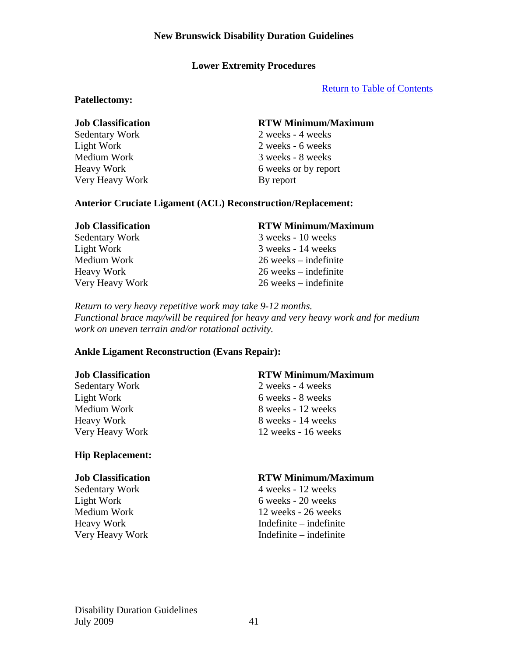# **Lower Extremity Procedures**

Return to Table of Contents

#### **Patellectomy:**

Very Heavy Work By report

### **Job Classification RTW Minimum/Maximum**

Sedentary Work 2 weeks - 4 weeks Light Work 2 weeks - 6 weeks Medium Work 3 weeks - 8 weeks Heavy Work 6 weeks or by report

#### **Anterior Cruciate Ligament (ACL) Reconstruction/Replacement:**

# **Job Classification RTW Minimum/Maximum**  Sedentary Work 3 weeks - 10 weeks Light Work 3 weeks - 14 weeks Medium Work 26 weeks – indefinite Heavy Work 26 weeks – indefinite Very Heavy Work 26 weeks – indefinite

*Return to very heavy repetitive work may take 9-12 months. Functional brace may/will be required for heavy and very heavy work and for medium work on uneven terrain and/or rotational activity.* 

### **Ankle Ligament Reconstruction (Evans Repair):**

Sedentary Work 2 weeks - 4 weeks Light Work 6 weeks - 8 weeks

### **Hip Replacement:**

#### **Job Classification RTW Minimum/Maximum**

Medium Work 8 weeks - 12 weeks Heavy Work 8 weeks - 14 weeks Very Heavy Work 12 weeks - 16 weeks

#### **Job Classification RTW Minimum/Maximum**

Sedentary Work 4 weeks - 12 weeks Light Work 6 weeks - 20 weeks Medium Work 12 weeks - 26 weeks Heavy Work Indefinite – indefinite Very Heavy Work Indefinite – indefinite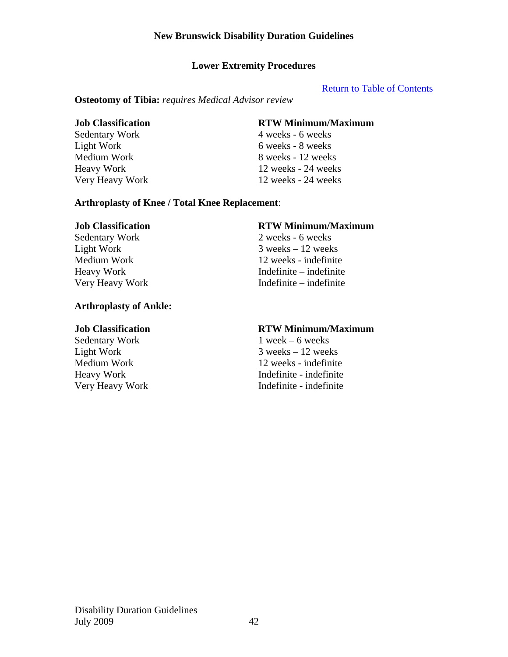# **Lower Extremity Procedures**

#### Return to Table of Contents

#### **Osteotomy of Tibia:** *requires Medical Advisor review*

### **Job Classification RTW Minimum/Maximum**

Sedentary Work 4 weeks - 6 weeks Light Work 6 weeks - 8 weeks Medium Work 8 weeks - 12 weeks Heavy Work 12 weeks - 24 weeks Very Heavy Work 12 weeks - 24 weeks

#### **Arthroplasty of Knee / Total Knee Replacement**:

### **Arthroplasty of Ankle:**

#### **Job Classification RTW Minimum/Maximum**

Sedentary Work 2 weeks - 6 weeks Light Work  $3$  weeks  $-12$  weeks Medium Work 12 weeks - indefinite Heavy Work Indefinite – indefinite Very Heavy Work Indefinite – indefinite

#### **Job Classification RTW Minimum/Maximum**

Sedentary Work 1 week – 6 weeks Light Work 3 weeks – 12 weeks Medium Work 12 weeks - indefinite<br>Heavy Work 12 weeks - indefinite Indefinite - indefinite Very Heavy Work Indefinite - indefinite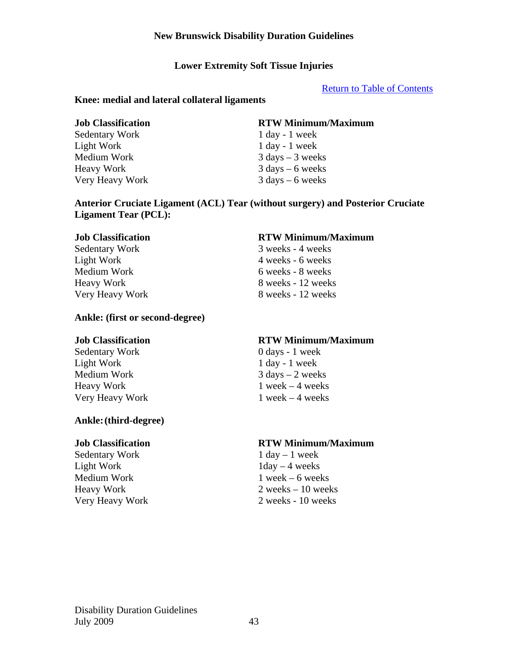### **Lower Extremity Soft Tissue Injuries**

### Return to Table of Contents

#### **Knee: medial and lateral collateral ligaments**

Sedentary Work 1 day - 1 week Light Work 1 day - 1 week Medium Work 3 days – 3 weeks Heavy Work 3 days – 6 weeks Very Heavy Work 3 days – 6 weeks

#### **Job Classification RTW Minimum/Maximum**

### **Anterior Cruciate Ligament (ACL) Tear (without surgery) and Posterior Cruciate Ligament Tear (PCL):**

### **Ankle: (first or second-degree)**

Sedentary Work 0 days - 1 week Light Work 1 day - 1 week Medium Work  $3 \text{ days} - 2 \text{ weeks}$ Heavy Work 1 week – 4 weeks Very Heavy Work 1 week – 4 weeks

### **Ankle: (third-degree)**

Sedentary Work 1 day – 1 week Light Work  $1 \text{day} - 4$  weeks Medium Work 1 week – 6 weeks

# **Job Classification RTW Minimum/Maximum**

Sedentary Work 3 weeks - 4 weeks Light Work 4 weeks - 6 weeks Medium Work 6 weeks - 8 weeks Heavy Work 8 weeks - 12 weeks Very Heavy Work 8 weeks - 12 weeks

#### **Job Classification RTW Minimum/Maximum**

#### **Job Classification RTW Minimum/Maximum**

Heavy Work 2 weeks – 10 weeks Very Heavy Work 2 weeks - 10 weeks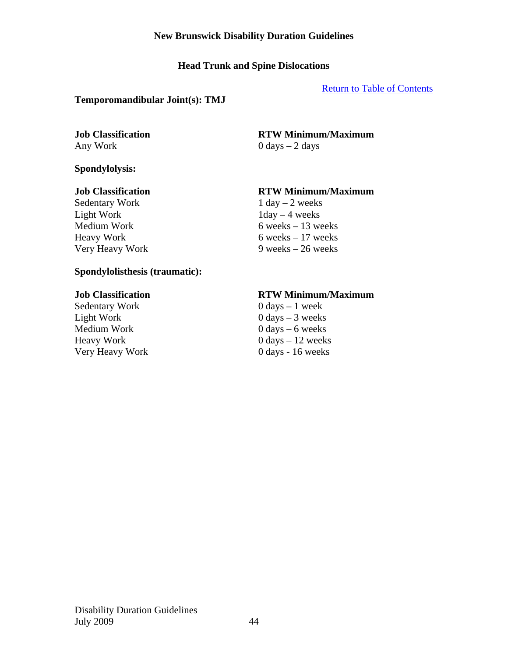# **Head Trunk and Spine Dislocations**

### Return to Table of Contents

### **Temporomandibular Joint(s): TMJ**

### **Spondylolysis:**

Sedentary Work 1 day – 2 weeks Light Work  $1 \text{day} - 4$  weeks

#### **Job Classification RTW Minimum/Maximum**

Any Work 0 days – 2 days

### **Job Classification RTW Minimum/Maximum**

Medium Work  $\overline{6 \text{ weeks}} - 13 \text{ weeks}$  $Heavy Work$  6 weeks – 17 weeks Very Heavy Work 9 weeks – 26 weeks

### **Spondylolisthesis (traumatic):**

Sedentary Work 0 days – 1 week Light Work 0 days – 3 weeks Medium Work  $0 \text{ days} - 6 \text{ weeks}$  $Heavy Work$  0 days  $-12$  weeks Very Heavy Work 0 days - 16 weeks

# **Job Classification RTW Minimum/Maximum**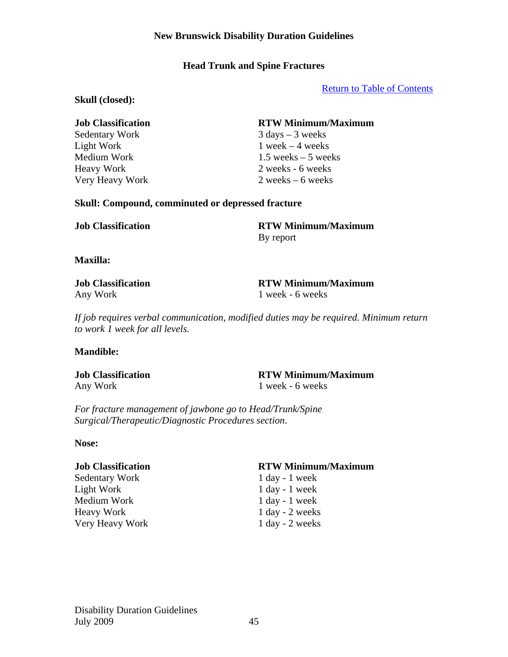# **Head Trunk and Spine Fractures**

Return to Table of Contents

#### **Skull (closed):**

Light Work  $1$  week – 4 weeks

### **Job Classification RTW Minimum/Maximum**

Sedentary Work 3 days – 3 weeks Medium Work 1.5 weeks – 5 weeks Heavy Work 2 weeks - 6 weeks Very Heavy Work 2 weeks – 6 weeks

#### **Skull: Compound, comminuted or depressed fracture**

**Job Classification RTW Minimum/Maximum**  By report

**Maxilla:** 

Any Work 1 week - 6 weeks

**Job Classification RTW Minimum/Maximum** 

*If job requires verbal communication, modified duties may be required. Minimum return to work 1 week for all levels.* 

### **Mandible:**

Any Work 1 week - 6 weeks

**Job Classification RTW Minimum/Maximum** 

*For fracture management of jawbone go to Head/Trunk/Spine Surgical/Therapeutic/Diagnostic Procedures section*.

### **Nose:**

Sedentary Work 1 day - 1 week Light Work 1 day - 1 week Medium Work 1 day - 1 week Heavy Work 1 day - 2 weeks Very Heavy Work 1 day - 2 weeks

### **Job Classification RTW Minimum/Maximum**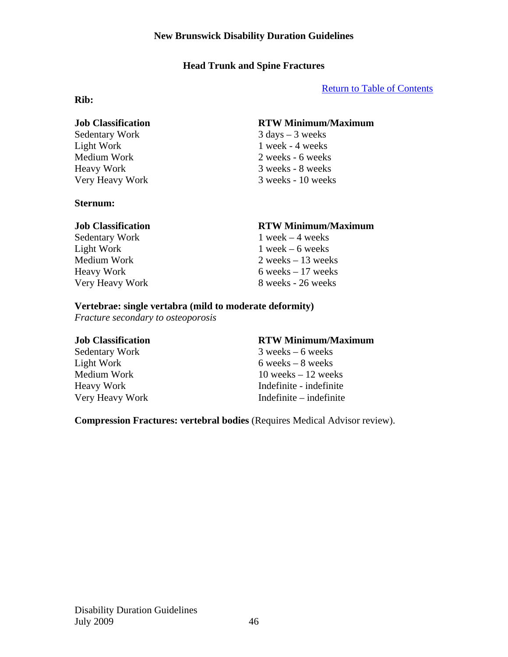# **Head Trunk and Spine Fractures**

Return to Table of Contents

### **Rib:**

Light Work 1 week - 4 weeks

### **Sternum:**

Sedentary Work 1 week – 4 weeks Light Work  $1$  week – 6 weeks

# **Job Classification RTW Minimum/Maximum**

Sedentary Work 3 days – 3 weeks Medium Work 2 weeks - 6 weeks Heavy Work 3 weeks - 8 weeks Very Heavy Work 3 weeks - 10 weeks

### **Job Classification RTW Minimum/Maximum**

Medium Work 2 weeks – 13 weeks Heavy Work 6 weeks – 17 weeks Very Heavy Work 8 weeks - 26 weeks

### **Vertebrae: single vertabra (mild to moderate deformity)**

*Fracture secondary to osteoporosis* 

# **Job Classification RTW Minimum/Maximum**

Sedentary Work 3 weeks – 6 weeks  $Light Work$  6 weeks – 8 weeks Medium Work 10 weeks – 12 weeks Heavy Work Indefinite - indefinite Very Heavy Work Indefinite – indefinite

**Compression Fractures: vertebral bodies** (Requires Medical Advisor review).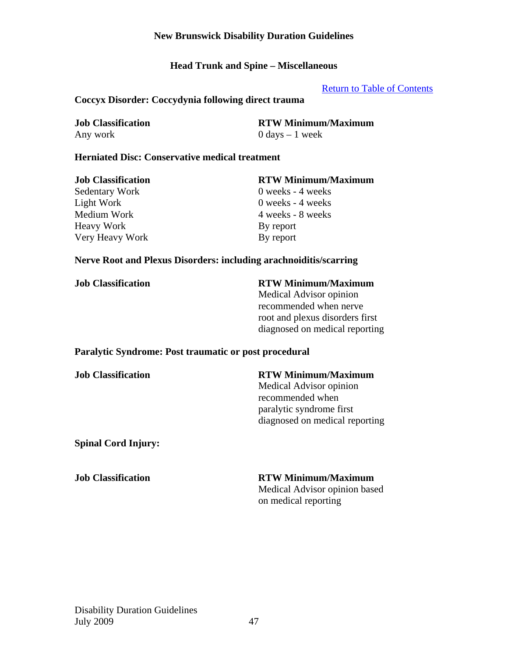**Head Trunk and Spine – Miscellaneous** 

Return to Table of Contents

### **Coccyx Disorder: Coccydynia following direct trauma**

| <b>Job Classification</b> | <b>RTW Minimum/Maximum</b>        |
|---------------------------|-----------------------------------|
| Any work                  | $0 \text{ days} - 1 \text{ week}$ |

### **Herniated Disc: Conservative medical treatment**

| <b>Job Classification</b> | <b>RTW Minimum/Maximum</b> |
|---------------------------|----------------------------|
| Sedentary Work            | $0$ weeks - 4 weeks        |
| Light Work                | $0$ weeks - 4 weeks        |
| Medium Work               | 4 weeks - 8 weeks          |
| <b>Heavy Work</b>         | By report                  |
| Very Heavy Work           | By report                  |

#### **Nerve Root and Plexus Disorders: including arachnoiditis/scarring**

#### **Job Classification RTW Minimum/Maximum**

Medical Advisor opinion recommended when nerve root and plexus disorders first diagnosed on medical reporting

#### **Paralytic Syndrome: Post traumatic or post procedural**

#### **Job Classification RTW Minimum/Maximum**

Medical Advisor opinion recommended when paralytic syndrome first diagnosed on medical reporting

**Spinal Cord Injury:** 

### **Job Classification RTW Minimum/Maximum**

Medical Advisor opinion based on medical reporting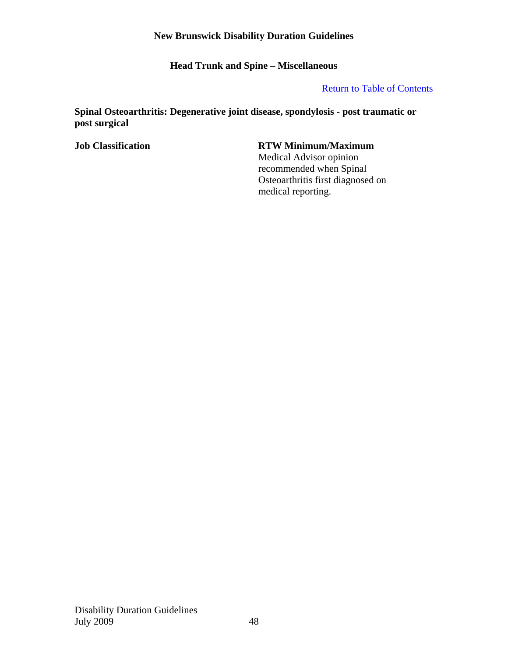**Head Trunk and Spine – Miscellaneous** 

# Return to Table of Contents

**Spinal Osteoarthritis: Degenerative joint disease, spondylosis - post traumatic or post surgical** 

# **Job Classification RTW Minimum/Maximum**

Medical Advisor opinion recommended when Spinal Osteoarthritis first diagnosed on medical reporting.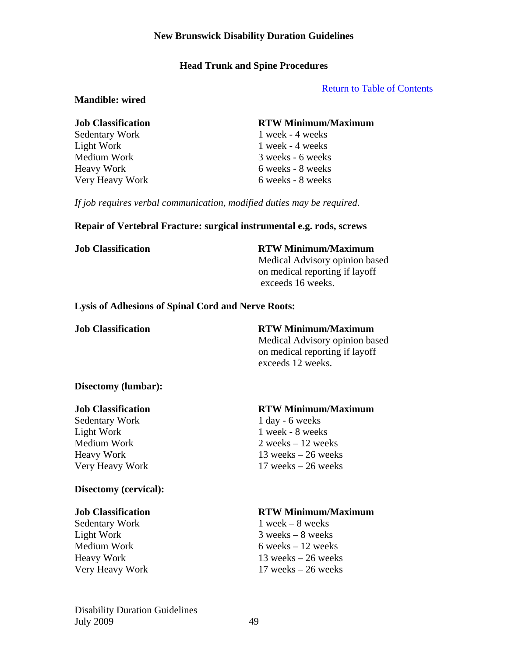### **Head Trunk and Spine Procedures**

#### Return to Table of Contents

#### **Mandible: wired**

#### **Job Classification RTW Minimum/Maximum**

Sedentary Work 1 week - 4 weeks Light Work 1 week - 4 weeks Medium Work 3 weeks - 6 weeks Heavy Work 6 weeks - 8 weeks Very Heavy Work 6 weeks - 8 weeks

*If job requires verbal communication, modified duties may be required*.

#### **Repair of Vertebral Fracture: surgical instrumental e.g. rods, screws**

**Job Classification RTW Minimum/Maximum** 

Medical Advisory opinion based on medical reporting if layoff exceeds 16 weeks.

#### **Lysis of Adhesions of Spinal Cord and Nerve Roots:**

**Job Classification RTW Minimum/Maximum**  Medical Advisory opinion based on medical reporting if layoff exceeds 12 weeks.

### **Disectomy (lumbar):**

Sedentary Work 1 day - 6 weeks Light Work 1 week - 8 weeks

### **Disectomy (cervical):**

Sedentary Work 1 week – 8 weeks Light Work 3 weeks – 8 weeks

### **Job Classification RTW Minimum/Maximum**

 $Median Work$  2 weeks – 12 weeks Heavy Work 13 weeks – 26 weeks Very Heavy Work 17 weeks – 26 weeks

### **Job Classification RTW Minimum/Maximum**

Medium Work  $6 \text{ weeks} - 12 \text{ weeks}$ Heavy Work 13 weeks – 26 weeks Very Heavy Work 17 weeks – 26 weeks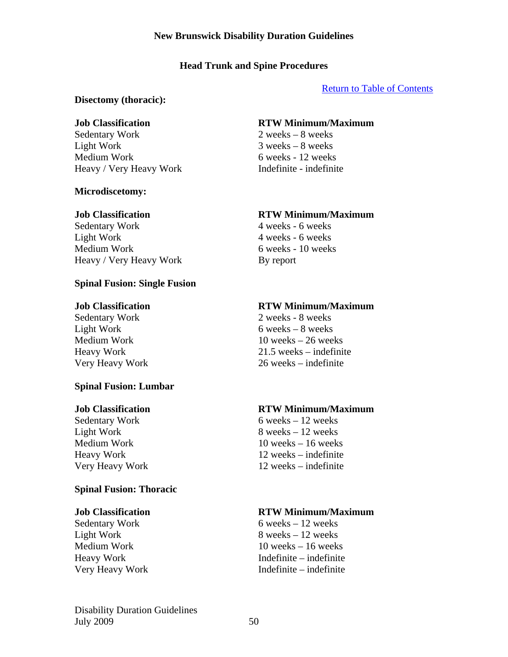# **Head Trunk and Spine Procedures**

# Return to Table of Contents

### **Disectomy (thoracic):**

Sedentary Work 2 weeks – 8 weeks Light Work 3 weeks – 8 weeks Medium Work 6 weeks - 12 weeks Heavy / Very Heavy Work Indefinite - indefinite

# **Microdiscetomy:**

Sedentary Work 4 weeks - 6 weeks Light Work 4 weeks - 6 weeks Medium Work 6 weeks - 10 weeks Heavy / Very Heavy Work By report

# **Spinal Fusion: Single Fusion**

# **Spinal Fusion: Lumbar**

# **Spinal Fusion: Thoracic**

# **Job Classification RTW Minimum/Maximum**

# **Job Classification RTW Minimum/Maximum**

# **Job Classification RTW Minimum/Maximum**

Sedentary Work 2 weeks - 8 weeks Light Work  $6$  weeks –  $8$  weeks Medium Work  $10$  weeks  $-26$  weeks Heavy Work 21.5 weeks – indefinite Very Heavy Work 26 weeks – indefinite

# **Job Classification RTW Minimum/Maximum**

Sedentary Work 6 weeks – 12 weeks Light Work  $8 \text{ weeks} - 12 \text{ weeks}$ Medium Work 10 weeks – 16 weeks Heavy Work 12 weeks – indefinite Very Heavy Work 12 weeks – indefinite

# **Job Classification RTW Minimum/Maximum**

Sedentary Work 6 weeks – 12 weeks  $Light Work$  8 weeks – 12 weeks Medium Work 10 weeks – 16 weeks Heavy Work Indefinite – indefinite Very Heavy Work Indefinite – indefinite

Disability Duration Guidelines July  $2009$  50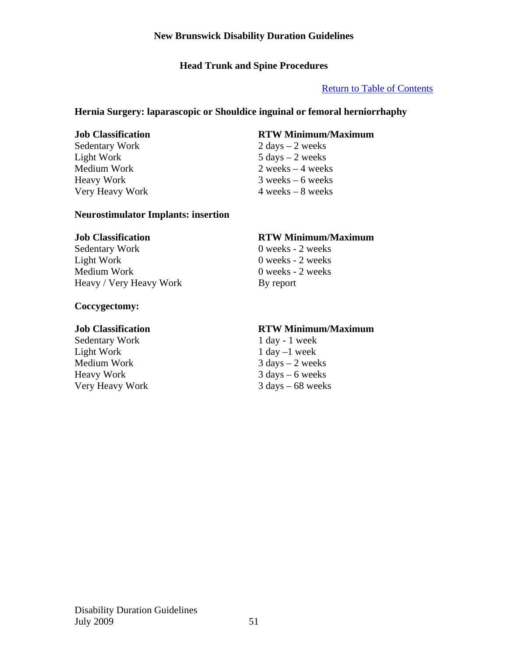# **Head Trunk and Spine Procedures**

# Return to Table of Contents

# **Hernia Surgery: laparascopic or Shouldice inguinal or femoral herniorrhaphy**

Sedentary Work 2 days – 2 weeks Light Work  $5 \text{ days} - 2 \text{ weeks}$ Very Heavy Work 4 weeks – 8 weeks

# **Neurostimulator Implants: insertion**

Sedentary Work 0 weeks - 2 weeks Light Work  $0$  weeks - 2 weeks<br>
Medium Work  $0$  weeks - 2 weeks Heavy / Very Heavy Work By report

# **Coccygectomy:**

Sedentary Work 1 day - 1 week Light Work 1 day –1 week Medium Work 3 days – 2 weeks<br>Heavy Work 3 days – 6 weeks Very Heavy Work 3 days – 68 weeks

# **Job Classification RTW Minimum/Maximum**

Medium Work 2 weeks – 4 weeks Heavy Work 3 weeks – 6 weeks

# **Job Classification RTW Minimum/Maximum**

 $0$  weeks - 2 weeks

### **Job Classification RTW Minimum/Maximum**

 $3$  days – 6 weeks